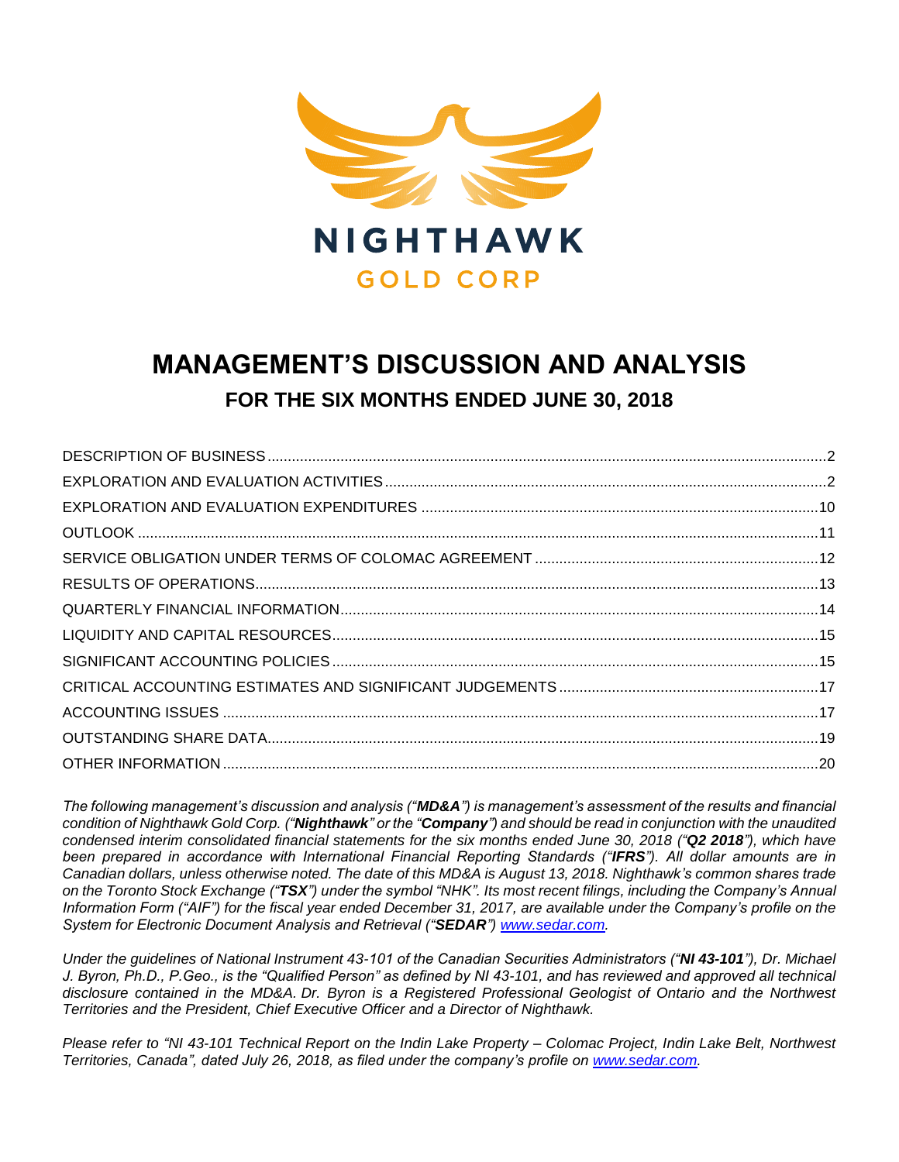

# **MANAGEMENT'S DISCUSSION AND ANALYSIS FOR THE SIX MONTHS ENDED JUNE 30, 2018**

*The following management's discussion and analysis ("MD&A") is management's assessment of the results and financial condition of Nighthawk Gold Corp. ("Nighthawk" or the "Company") and should be read in conjunction with the unaudited condensed interim consolidated financial statements for the six months ended June 30, 2018 ("Q2 2018"), which have been prepared in accordance with International Financial Reporting Standards ("IFRS"). All dollar amounts are in Canadian dollars, unless otherwise noted. The date of this MD&A is August 13, 2018. Nighthawk's common shares trade on the Toronto Stock Exchange ("TSX") under the symbol "NHK". Its most recent filings, including the Company's Annual Information Form ("AIF") for the fiscal year ended December 31, 2017, are available under the Company's profile on the System for Electronic Document Analysis and Retrieval ("SEDAR") [www.sedar.com.](http://www.sedar.com/)*

*Under the guidelines of National Instrument 43-101 of the Canadian Securities Administrators ("NI 43-101"), Dr. Michael J. Byron, Ph.D., P.Geo., is the "Qualified Person" as defined by NI 43-101, and has reviewed and approved all technical disclosure contained in the MD&A. Dr. Byron is a Registered Professional Geologist of Ontario and the Northwest Territories and the President, Chief Executive Officer and a Director of Nighthawk.*

*Please refer to "NI 43-101 Technical Report on the Indin Lake Property – Colomac Project, Indin Lake Belt, Northwest Territories, Canada", dated July 26, 2018, as filed under the company's profile on [www.sedar.com.](http://www.sedar.com/)*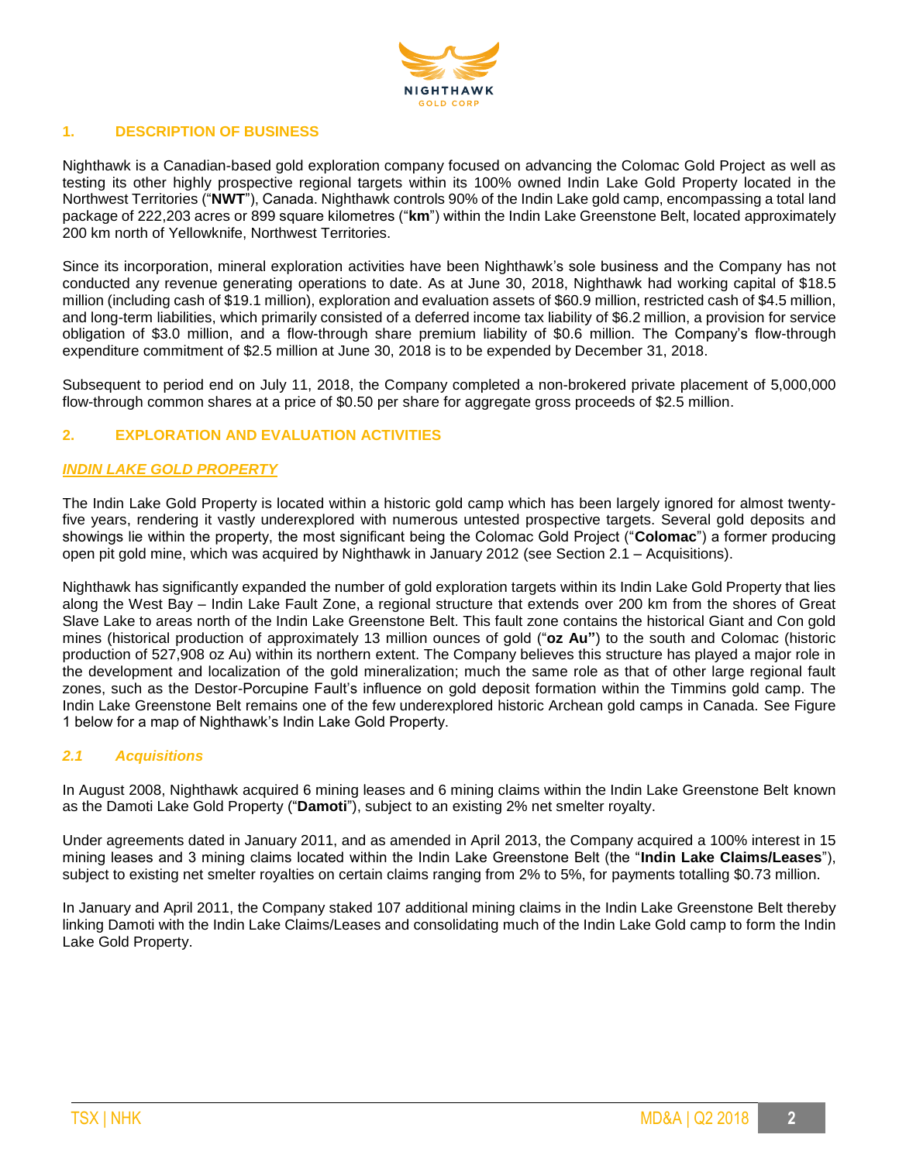

### **1. DESCRIPTION OF BUSINESS**

Nighthawk is a Canadian-based gold exploration company focused on advancing the Colomac Gold Project as well as testing its other highly prospective regional targets within its 100% owned Indin Lake Gold Property located in the Northwest Territories ("**NWT**"), Canada. Nighthawk controls 90% of the Indin Lake gold camp, encompassing a total land package of 222,203 acres or 899 square kilometres ("**km**") within the Indin Lake Greenstone Belt, located approximately 200 km north of Yellowknife, Northwest Territories.

Since its incorporation, mineral exploration activities have been Nighthawk's sole business and the Company has not conducted any revenue generating operations to date. As at June 30, 2018, Nighthawk had working capital of \$18.5 million (including cash of \$19.1 million), exploration and evaluation assets of \$60.9 million, restricted cash of \$4.5 million, and long-term liabilities, which primarily consisted of a deferred income tax liability of \$6.2 million, a provision for service obligation of \$3.0 million, and a flow-through share premium liability of \$0.6 million. The Company's flow-through expenditure commitment of \$2.5 million at June 30, 2018 is to be expended by December 31, 2018.

Subsequent to period end on July 11, 2018, the Company completed a non-brokered private placement of 5,000,000 flow-through common shares at a price of \$0.50 per share for aggregate gross proceeds of \$2.5 million.

### **2. EXPLORATION AND EVALUATION ACTIVITIES**

### *INDIN LAKE GOLD PROPERTY*

The Indin Lake Gold Property is located within a historic gold camp which has been largely ignored for almost twentyfive years, rendering it vastly underexplored with numerous untested prospective targets. Several gold deposits and showings lie within the property, the most significant being the Colomac Gold Project ("**Colomac**") a former producing open pit gold mine, which was acquired by Nighthawk in January 2012 (see Section 2.1 – Acquisitions).

Nighthawk has significantly expanded the number of gold exploration targets within its Indin Lake Gold Property that lies along the West Bay – Indin Lake Fault Zone, a regional structure that extends over 200 km from the shores of Great Slave Lake to areas north of the Indin Lake Greenstone Belt. This fault zone contains the historical Giant and Con gold mines (historical production of approximately 13 million ounces of gold ("**oz Au"**) to the south and Colomac (historic production of 527,908 oz Au) within its northern extent. The Company believes this structure has played a major role in the development and localization of the gold mineralization; much the same role as that of other large regional fault zones, such as the Destor-Porcupine Fault's influence on gold deposit formation within the Timmins gold camp. The Indin Lake Greenstone Belt remains one of the few underexplored historic Archean gold camps in Canada. See Figure 1 below for a map of Nighthawk's Indin Lake Gold Property.

### *2.1 Acquisitions*

In August 2008, Nighthawk acquired 6 mining leases and 6 mining claims within the Indin Lake Greenstone Belt known as the Damoti Lake Gold Property ("**Damoti**"), subject to an existing 2% net smelter royalty.

Under agreements dated in January 2011, and as amended in April 2013, the Company acquired a 100% interest in 15 mining leases and 3 mining claims located within the Indin Lake Greenstone Belt (the "**Indin Lake Claims/Leases**"), subject to existing net smelter royalties on certain claims ranging from 2% to 5%, for payments totalling \$0.73 million.

In January and April 2011, the Company staked 107 additional mining claims in the Indin Lake Greenstone Belt thereby linking Damoti with the Indin Lake Claims/Leases and consolidating much of the Indin Lake Gold camp to form the Indin Lake Gold Property.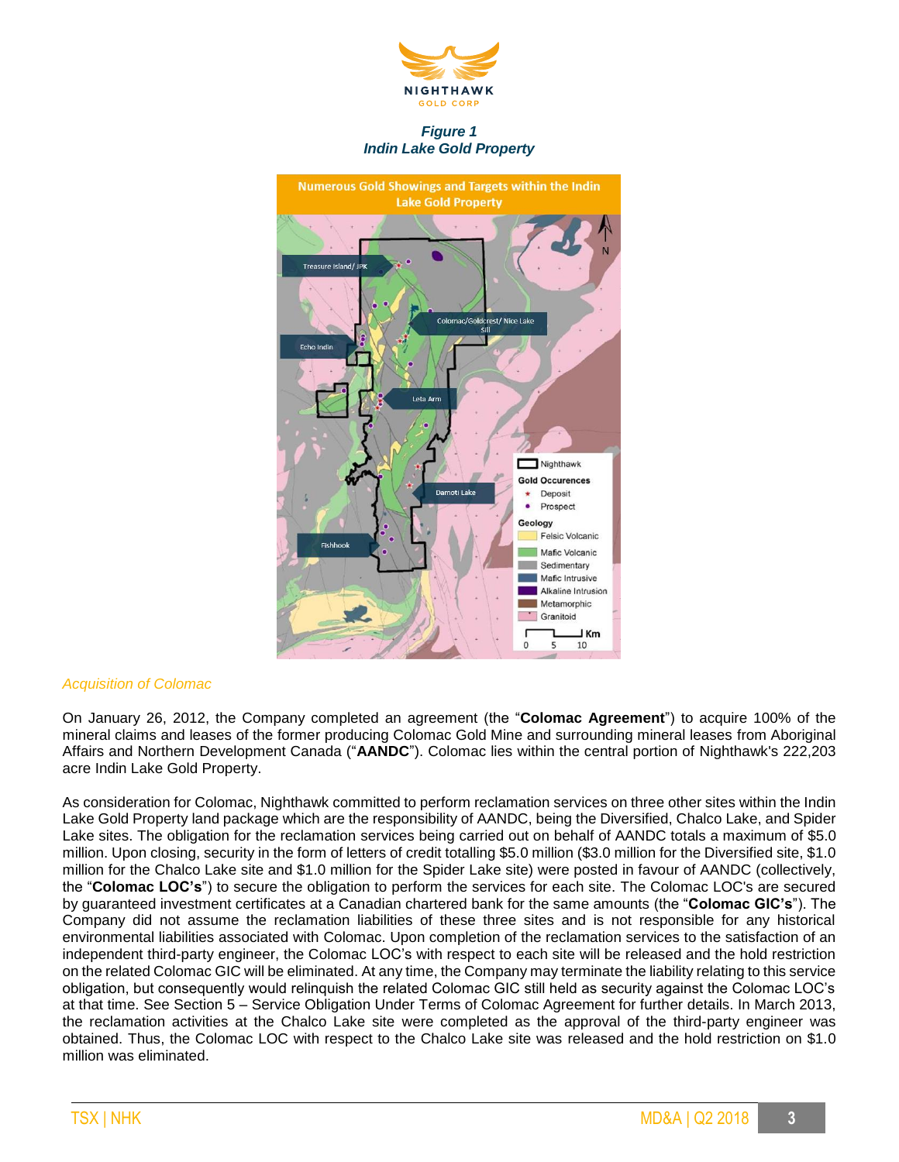

*Figure 1 Indin Lake Gold Property*



#### *Acquisition of Colomac*

On January 26, 2012, the Company completed an agreement (the "**Colomac Agreement**") to acquire 100% of the mineral claims and leases of the former producing Colomac Gold Mine and surrounding mineral leases from Aboriginal Affairs and Northern Development Canada ("**AANDC**"). Colomac lies within the central portion of Nighthawk's 222,203 acre Indin Lake Gold Property.

As consideration for Colomac, Nighthawk committed to perform reclamation services on three other sites within the Indin Lake Gold Property land package which are the responsibility of AANDC, being the Diversified, Chalco Lake, and Spider Lake sites. The obligation for the reclamation services being carried out on behalf of AANDC totals a maximum of \$5.0 million. Upon closing, security in the form of letters of credit totalling \$5.0 million (\$3.0 million for the Diversified site, \$1.0 million for the Chalco Lake site and \$1.0 million for the Spider Lake site) were posted in favour of AANDC (collectively, the "**Colomac LOC's**") to secure the obligation to perform the services for each site. The Colomac LOC's are secured by guaranteed investment certificates at a Canadian chartered bank for the same amounts (the "**Colomac GIC's**"). The Company did not assume the reclamation liabilities of these three sites and is not responsible for any historical environmental liabilities associated with Colomac. Upon completion of the reclamation services to the satisfaction of an independent third-party engineer, the Colomac LOC's with respect to each site will be released and the hold restriction on the related Colomac GIC will be eliminated. At any time, the Company may terminate the liability relating to this service obligation, but consequently would relinquish the related Colomac GIC still held as security against the Colomac LOC's at that time. See Section 5 – Service Obligation Under Terms of Colomac Agreement for further details. In March 2013, the reclamation activities at the Chalco Lake site were completed as the approval of the third-party engineer was obtained. Thus, the Colomac LOC with respect to the Chalco Lake site was released and the hold restriction on \$1.0 million was eliminated.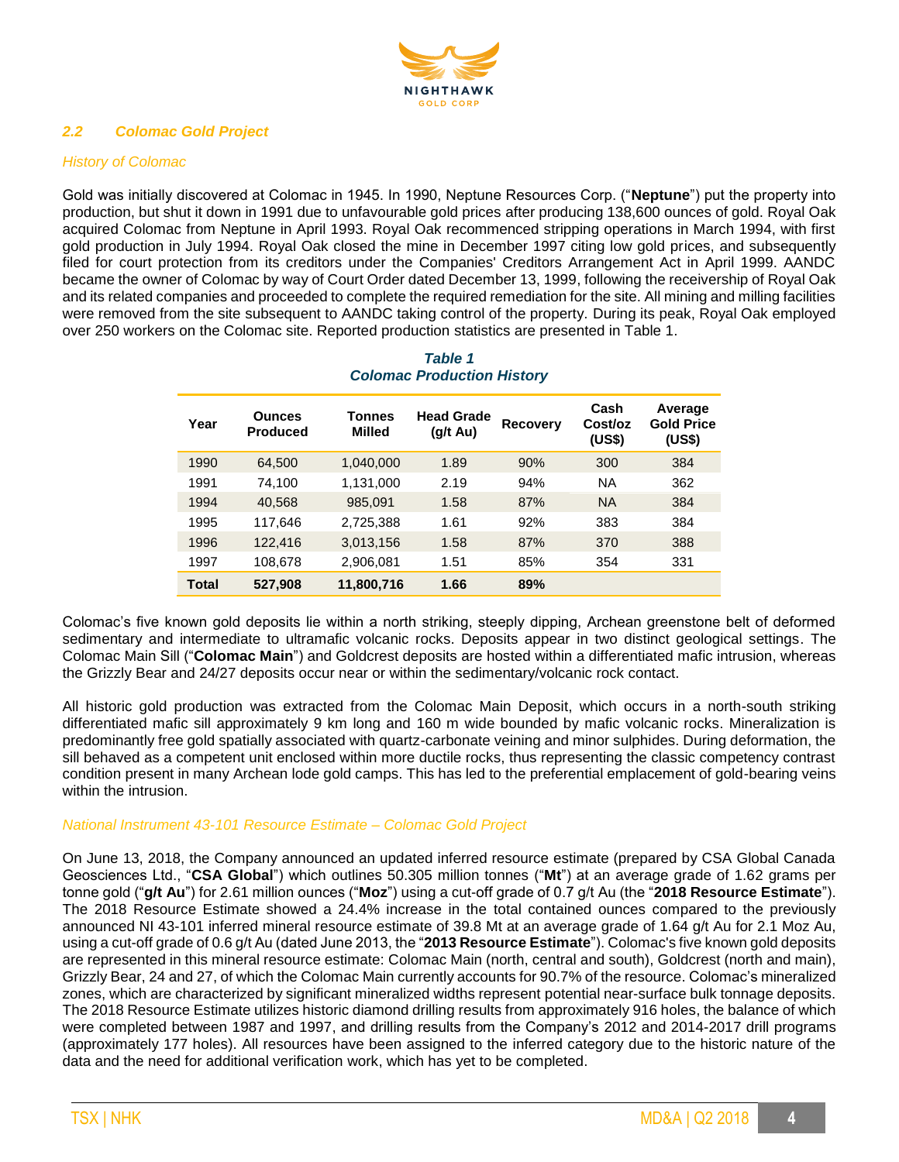

### *2.2 Colomac Gold Project*

### *History of Colomac*

Gold was initially discovered at Colomac in 1945. In 1990, Neptune Resources Corp. ("**Neptune**") put the property into production, but shut it down in 1991 due to unfavourable gold prices after producing 138,600 ounces of gold. Royal Oak acquired Colomac from Neptune in April 1993. Royal Oak recommenced stripping operations in March 1994, with first gold production in July 1994. Royal Oak closed the mine in December 1997 citing low gold prices, and subsequently filed for court protection from its creditors under the Companies' Creditors Arrangement Act in April 1999. AANDC became the owner of Colomac by way of Court Order dated December 13, 1999, following the receivership of Royal Oak and its related companies and proceeded to complete the required remediation for the site. All mining and milling facilities were removed from the site subsequent to AANDC taking control of the property. During its peak, Royal Oak employed over 250 workers on the Colomac site. Reported production statistics are presented in Table 1.

| Year  | <b>Ounces</b><br><b>Produced</b> | Tonnes<br><b>Milled</b> | <b>Head Grade</b><br>$(q/t \text{ Au})$ | <b>Recovery</b> | Cash<br>Cost/oz<br>(US\$) | Average<br><b>Gold Price</b><br>(US\$) |
|-------|----------------------------------|-------------------------|-----------------------------------------|-----------------|---------------------------|----------------------------------------|
| 1990  | 64,500                           | 1,040,000               | 1.89                                    | 90%             | 300                       | 384                                    |
| 1991  | 74.100                           | 1,131,000               | 2.19                                    | 94%             | <b>NA</b>                 | 362                                    |
| 1994  | 40,568                           | 985,091                 | 1.58                                    | 87%             | <b>NA</b>                 | 384                                    |
| 1995  | 117,646                          | 2,725,388               | 1.61                                    | 92%             | 383                       | 384                                    |
| 1996  | 122,416                          | 3,013,156               | 1.58                                    | 87%             | 370                       | 388                                    |
| 1997  | 108,678                          | 2,906,081               | 1.51                                    | 85%             | 354                       | 331                                    |
| Total | 527,908                          | 11,800,716              | 1.66                                    | 89%             |                           |                                        |

### *Table 1 Colomac Production History*

Colomac's five known gold deposits lie within a north striking, steeply dipping, Archean greenstone belt of deformed sedimentary and intermediate to ultramafic volcanic rocks. Deposits appear in two distinct geological settings. The Colomac Main Sill ("**Colomac Main**") and Goldcrest deposits are hosted within a differentiated mafic intrusion, whereas the Grizzly Bear and 24/27 deposits occur near or within the sedimentary/volcanic rock contact.

All historic gold production was extracted from the Colomac Main Deposit, which occurs in a north-south striking differentiated mafic sill approximately 9 km long and 160 m wide bounded by mafic volcanic rocks. Mineralization is predominantly free gold spatially associated with quartz-carbonate veining and minor sulphides. During deformation, the sill behaved as a competent unit enclosed within more ductile rocks, thus representing the classic competency contrast condition present in many Archean lode gold camps. This has led to the preferential emplacement of gold-bearing veins within the intrusion.

### *National Instrument 43-101 Resource Estimate – Colomac Gold Project*

On June 13, 2018, the Company announced an updated inferred resource estimate (prepared by CSA Global Canada Geosciences Ltd., "**CSA Global**") which outlines 50.305 million tonnes ("**Mt**") at an average grade of 1.62 grams per tonne gold ("**g/t Au**") for 2.61 million ounces ("**Moz**") using a cut-off grade of 0.7 g/t Au (the "**2018 Resource Estimate**"). The 2018 Resource Estimate showed a 24.4% increase in the total contained ounces compared to the previously announced NI 43-101 inferred mineral resource estimate of 39.8 Mt at an average grade of 1.64 g/t Au for 2.1 Moz Au, using a cut-off grade of 0.6 g/t Au (dated June 2013, the "**2013 Resource Estimate**"). Colomac's five known gold deposits are represented in this mineral resource estimate: Colomac Main (north, central and south), Goldcrest (north and main), Grizzly Bear, 24 and 27, of which the Colomac Main currently accounts for 90.7% of the resource. Colomac's mineralized zones, which are characterized by significant mineralized widths represent potential near-surface bulk tonnage deposits. The 2018 Resource Estimate utilizes historic diamond drilling results from approximately 916 holes, the balance of which were completed between 1987 and 1997, and drilling results from the Company's 2012 and 2014-2017 drill programs (approximately 177 holes). All resources have been assigned to the inferred category due to the historic nature of the data and the need for additional verification work, which has yet to be completed.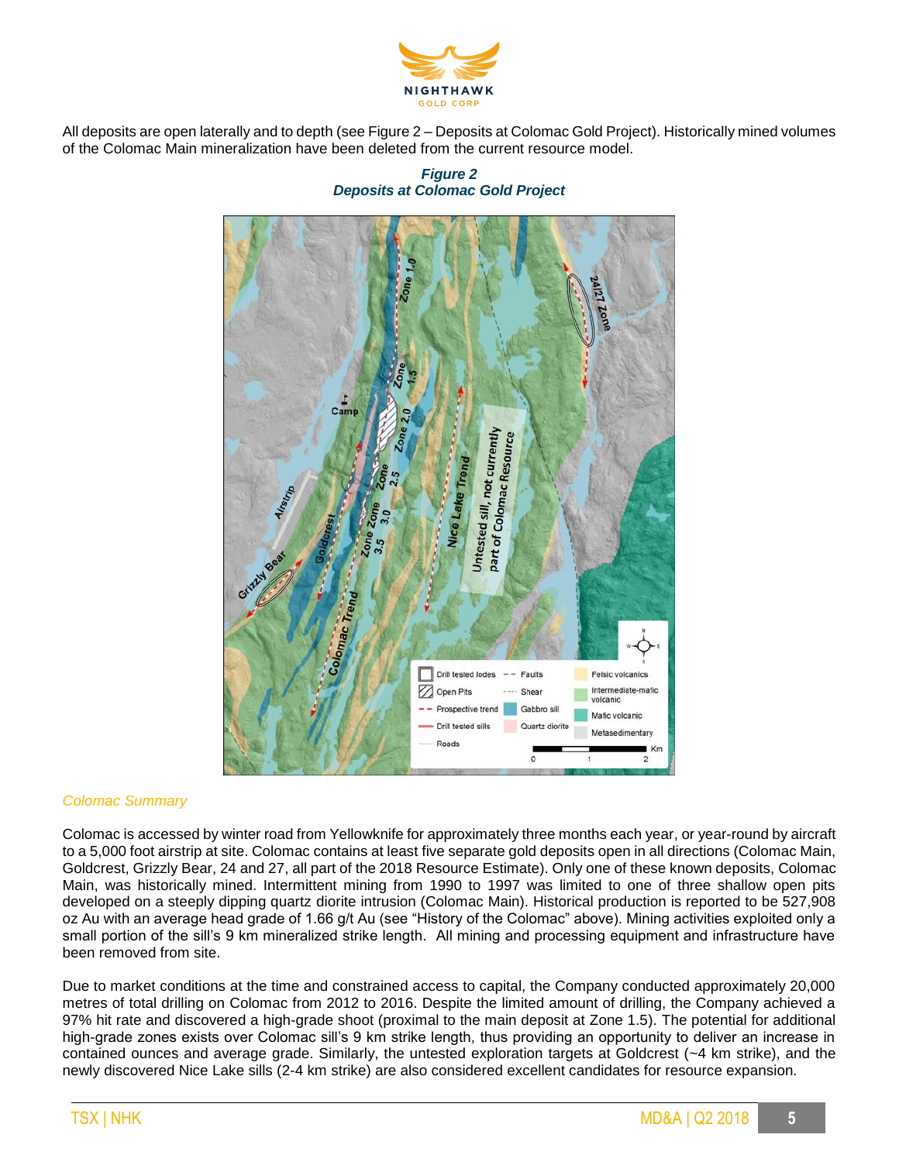

All deposits are open laterally and to depth (see Figure 2 – Deposits at Colomac Gold Project). Historically mined volumes of the Colomac Main mineralization have been deleted from the current resource model.

### *Figure 2 Deposits at Colomac Gold Project*



### *Colomac Summary*

Colomac is accessed by winter road from Yellowknife for approximately three months each year, or year-round by aircraft to a 5,000 foot airstrip at site. Colomac contains at least five separate gold deposits open in all directions (Colomac Main, Goldcrest, Grizzly Bear, 24 and 27, all part of the 2018 Resource Estimate). Only one of these known deposits, Colomac Main, was historically mined. Intermittent mining from 1990 to 1997 was limited to one of three shallow open pits developed on a steeply dipping quartz diorite intrusion (Colomac Main). Historical production is reported to be 527,908 oz Au with an average head grade of 1.66 g/t Au (see "History of the Colomac" above). Mining activities exploited only a small portion of the sill's 9 km mineralized strike length. All mining and processing equipment and infrastructure have been removed from site.

Due to market conditions at the time and constrained access to capital, the Company conducted approximately 20,000 metres of total drilling on Colomac from 2012 to 2016. Despite the limited amount of drilling, the Company achieved a 97% hit rate and discovered a high-grade shoot (proximal to the main deposit at Zone 1.5). The potential for additional high-grade zones exists over Colomac sill's 9 km strike length, thus providing an opportunity to deliver an increase in contained ounces and average grade. Similarly, the untested exploration targets at Goldcrest (~4 km strike), and the newly discovered Nice Lake sills (2-4 km strike) are also considered excellent candidates for resource expansion.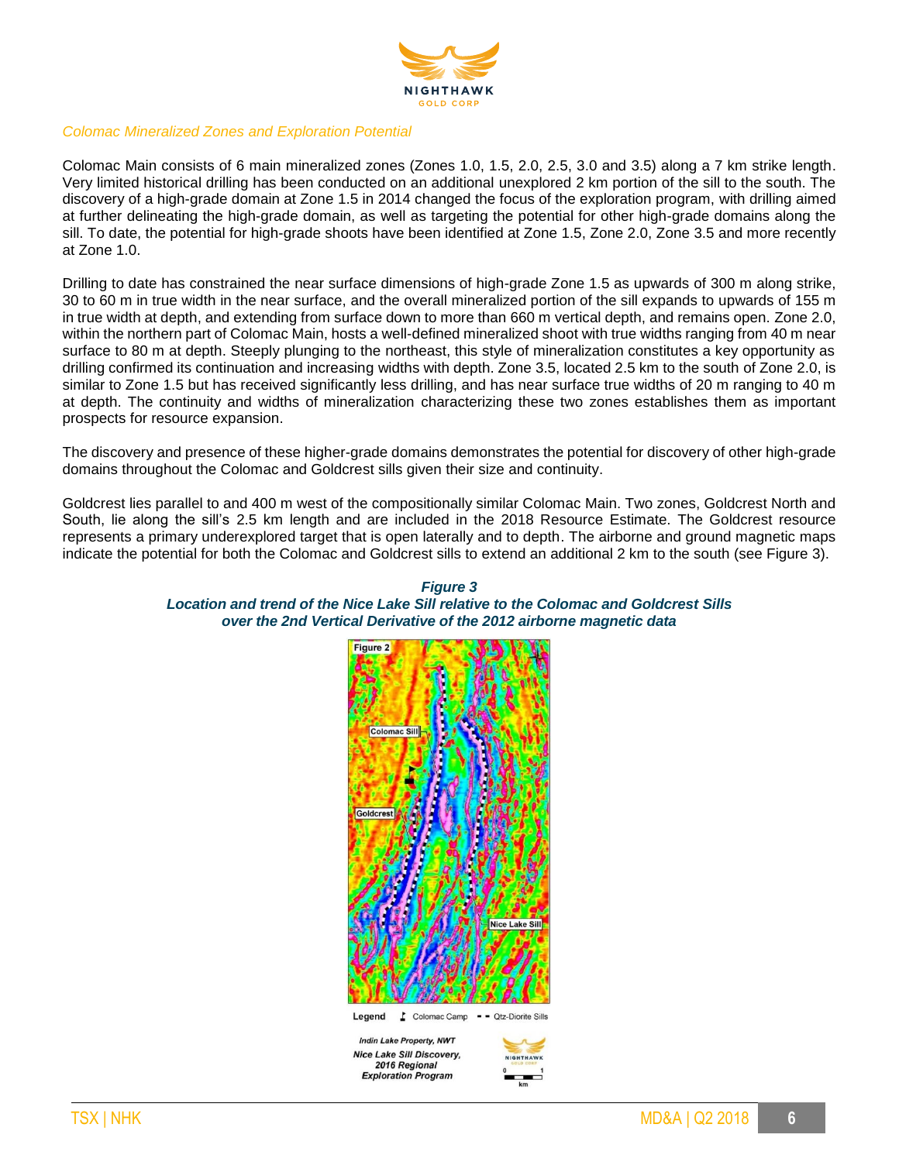

#### *Colomac Mineralized Zones and Exploration Potential*

Colomac Main consists of 6 main mineralized zones (Zones 1.0, 1.5, 2.0, 2.5, 3.0 and 3.5) along a 7 km strike length. Very limited historical drilling has been conducted on an additional unexplored 2 km portion of the sill to the south. The discovery of a high-grade domain at Zone 1.5 in 2014 changed the focus of the exploration program, with drilling aimed at further delineating the high-grade domain, as well as targeting the potential for other high-grade domains along the sill. To date, the potential for high-grade shoots have been identified at Zone 1.5, Zone 2.0, Zone 3.5 and more recently at Zone 1.0.

Drilling to date has constrained the near surface dimensions of high-grade Zone 1.5 as upwards of 300 m along strike, 30 to 60 m in true width in the near surface, and the overall mineralized portion of the sill expands to upwards of 155 m in true width at depth, and extending from surface down to more than 660 m vertical depth, and remains open. Zone 2.0, within the northern part of Colomac Main, hosts a well-defined mineralized shoot with true widths ranging from 40 m near surface to 80 m at depth. Steeply plunging to the northeast, this style of mineralization constitutes a key opportunity as drilling confirmed its continuation and increasing widths with depth. Zone 3.5, located 2.5 km to the south of Zone 2.0, is similar to Zone 1.5 but has received significantly less drilling, and has near surface true widths of 20 m ranging to 40 m at depth. The continuity and widths of mineralization characterizing these two zones establishes them as important prospects for resource expansion.

The discovery and presence of these higher-grade domains demonstrates the potential for discovery of other high-grade domains throughout the Colomac and Goldcrest sills given their size and continuity.

Goldcrest lies parallel to and 400 m west of the compositionally similar Colomac Main. Two zones, Goldcrest North and South, lie along the sill's 2.5 km length and are included in the 2018 Resource Estimate. The Goldcrest resource represents a primary underexplored target that is open laterally and to depth. The airborne and ground magnetic maps indicate the potential for both the Colomac and Goldcrest sills to extend an additional 2 km to the south (see Figure 3).





**Exploration Program** 

*Figure 3*

نسب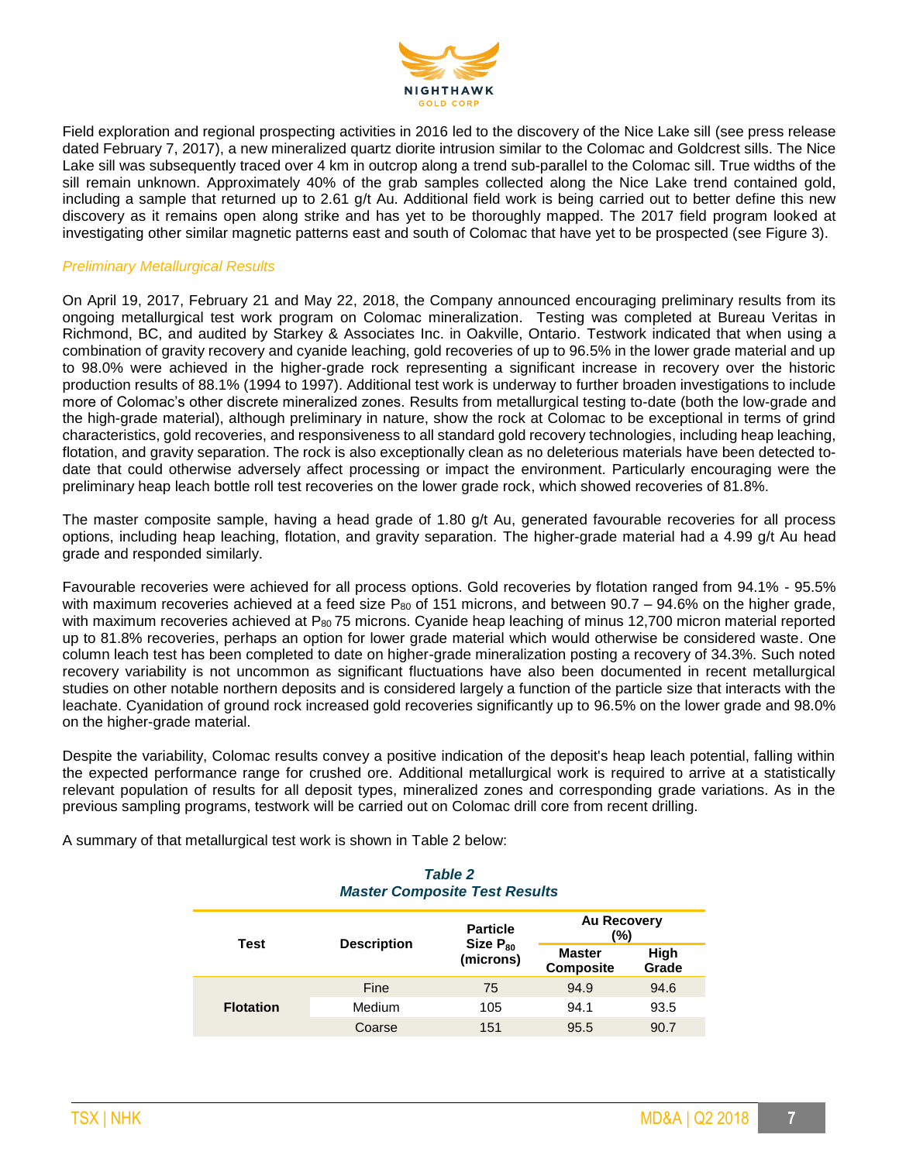

Field exploration and regional prospecting activities in 2016 led to the discovery of the Nice Lake sill (see press release dated February 7, 2017), a new mineralized quartz diorite intrusion similar to the Colomac and Goldcrest sills. The Nice Lake sill was subsequently traced over 4 km in outcrop along a trend sub-parallel to the Colomac sill. True widths of the sill remain unknown. Approximately 40% of the grab samples collected along the Nice Lake trend contained gold, including a sample that returned up to 2.61 g/t Au. Additional field work is being carried out to better define this new discovery as it remains open along strike and has yet to be thoroughly mapped. The 2017 field program looked at investigating other similar magnetic patterns east and south of Colomac that have yet to be prospected (see Figure 3).

### *Preliminary Metallurgical Results*

On April 19, 2017, February 21 and May 22, 2018, the Company announced encouraging preliminary results from its ongoing metallurgical test work program on Colomac mineralization. Testing was completed at Bureau Veritas in Richmond, BC, and audited by Starkey & Associates Inc. in Oakville, Ontario. Testwork indicated that when using a combination of gravity recovery and cyanide leaching, gold recoveries of up to 96.5% in the lower grade material and up to 98.0% were achieved in the higher-grade rock representing a significant increase in recovery over the historic production results of 88.1% (1994 to 1997). Additional test work is underway to further broaden investigations to include more of Colomac's other discrete mineralized zones. Results from metallurgical testing to-date (both the low-grade and the high-grade material), although preliminary in nature, show the rock at Colomac to be exceptional in terms of grind characteristics, gold recoveries, and responsiveness to all standard gold recovery technologies, including heap leaching, flotation, and gravity separation. The rock is also exceptionally clean as no deleterious materials have been detected todate that could otherwise adversely affect processing or impact the environment. Particularly encouraging were the preliminary heap leach bottle roll test recoveries on the lower grade rock, which showed recoveries of 81.8%.

The master composite sample, having a head grade of 1.80 g/t Au, generated favourable recoveries for all process options, including heap leaching, flotation, and gravity separation. The higher-grade material had a 4.99 g/t Au head grade and responded similarly.

Favourable recoveries were achieved for all process options. Gold recoveries by flotation ranged from 94.1% - 95.5% with maximum recoveries achieved at a feed size  $P_{80}$  of 151 microns, and between 90.7 – 94.6% on the higher grade, with maximum recoveries achieved at P<sub>80</sub> 75 microns. Cyanide heap leaching of minus 12,700 micron material reported up to 81.8% recoveries, perhaps an option for lower grade material which would otherwise be considered waste. One column leach test has been completed to date on higher-grade mineralization posting a recovery of 34.3%. Such noted recovery variability is not uncommon as significant fluctuations have also been documented in recent metallurgical studies on other notable northern deposits and is considered largely a function of the particle size that interacts with the leachate. Cyanidation of ground rock increased gold recoveries significantly up to 96.5% on the lower grade and 98.0% on the higher-grade material.

Despite the variability, Colomac results convey a positive indication of the deposit's heap leach potential, falling within the expected performance range for crushed ore. Additional metallurgical work is required to arrive at a statistically relevant population of results for all deposit types, mineralized zones and corresponding grade variations. As in the previous sampling programs, testwork will be carried out on Colomac drill core from recent drilling.

A summary of that metallurgical test work is shown in Table 2 below:

## *Table 2 Master Composite Test Results* **Particle**

| Test             | <b>Description</b> | <b>Particle</b><br>Size $P_{80}$ | <b>Au Recovery</b><br>(%)         |               |
|------------------|--------------------|----------------------------------|-----------------------------------|---------------|
|                  |                    | (microns)                        | <b>Master</b><br><b>Composite</b> | High<br>Grade |
| <b>Flotation</b> | Fine               | 75                               | 94.9                              | 94.6          |
|                  | Medium             | 105                              | 94.1                              | 93.5          |
|                  | Coarse             | 151                              | 95.5                              | 90.7          |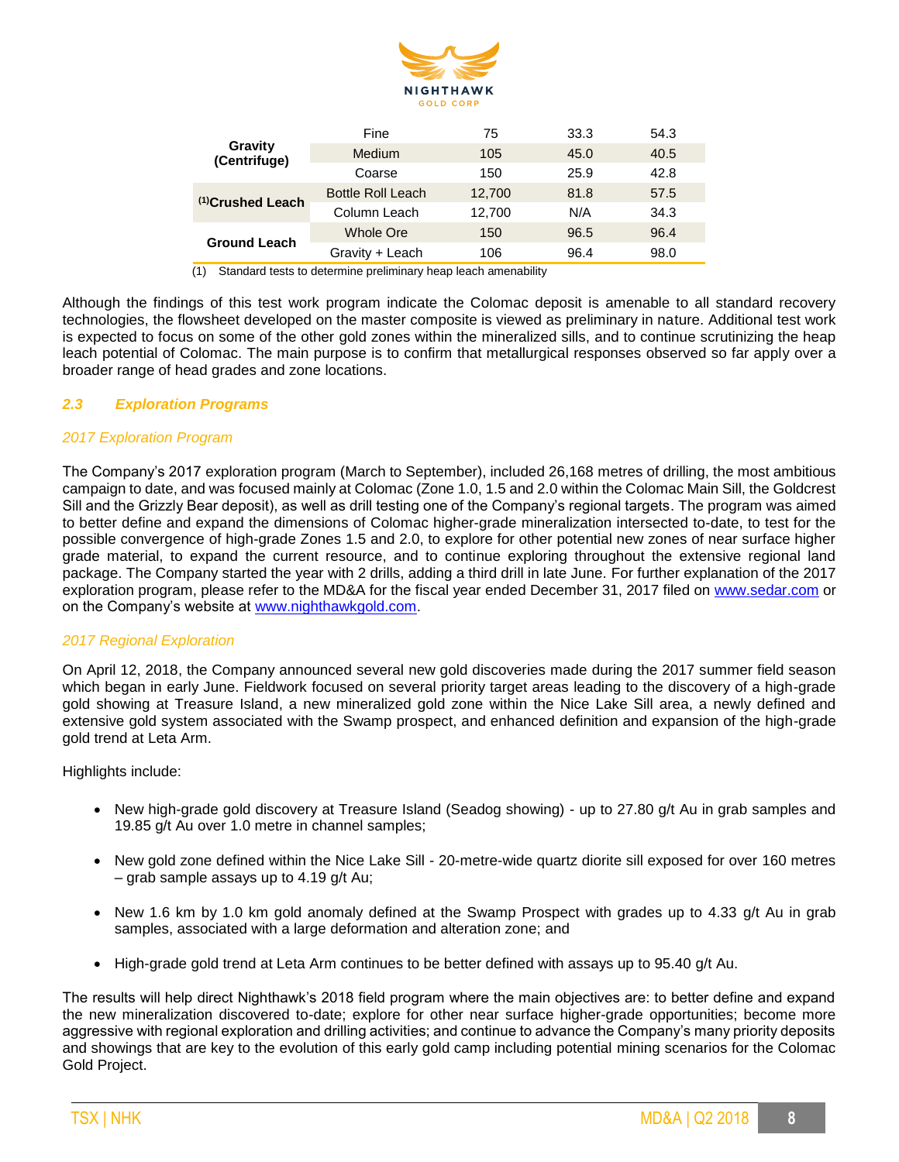

| Gravity<br>(Centrifuge)      | Fine                     | 75     | 33.3 | 54.3 |
|------------------------------|--------------------------|--------|------|------|
|                              | <b>Medium</b>            | 105    |      | 40.5 |
|                              | Coarse                   | 150    | 25.9 | 42.8 |
| <sup>(1)</sup> Crushed Leach | <b>Bottle Roll Leach</b> | 12,700 | 81.8 | 57.5 |
|                              | Column Leach             | 12,700 | N/A  | 34.3 |
| <b>Ground Leach</b>          | Whole Ore                | 150    | 96.5 | 96.4 |
|                              | Gravity + Leach          | 106    | 96.4 | 98.0 |

(1) Standard tests to determine preliminary heap leach amenability

Although the findings of this test work program indicate the Colomac deposit is amenable to all standard recovery technologies, the flowsheet developed on the master composite is viewed as preliminary in nature. Additional test work is expected to focus on some of the other gold zones within the mineralized sills, and to continue scrutinizing the heap leach potential of Colomac. The main purpose is to confirm that metallurgical responses observed so far apply over a broader range of head grades and zone locations.

### *2.3 Exploration Programs*

### *2017 Exploration Program*

The Company's 2017 exploration program (March to September), included 26,168 metres of drilling, the most ambitious campaign to date, and was focused mainly at Colomac (Zone 1.0, 1.5 and 2.0 within the Colomac Main Sill, the Goldcrest Sill and the Grizzly Bear deposit), as well as drill testing one of the Company's regional targets. The program was aimed to better define and expand the dimensions of Colomac higher-grade mineralization intersected to-date, to test for the possible convergence of high-grade Zones 1.5 and 2.0, to explore for other potential new zones of near surface higher grade material, to expand the current resource, and to continue exploring throughout the extensive regional land package. The Company started the year with 2 drills, adding a third drill in late June. For further explanation of the 2017 exploration program, please refer to the MD&A for the fiscal year ended December 31, 2017 filed on [www.sedar.com](http://www.sedar.com/) or on the Company's website at [www.nighthawkgold.com.](http://www.nighthawkgold.com/)

### *2017 Regional Exploration*

On April 12, 2018, the Company announced several new gold discoveries made during the 2017 summer field season which began in early June. Fieldwork focused on several priority target areas leading to the discovery of a high-grade gold showing at Treasure Island, a new mineralized gold zone within the Nice Lake Sill area, a newly defined and extensive gold system associated with the Swamp prospect, and enhanced definition and expansion of the high-grade gold trend at Leta Arm.

Highlights include:

- New high-grade gold discovery at Treasure Island (Seadog showing) up to 27.80 g/t Au in grab samples and 19.85 g/t Au over 1.0 metre in channel samples;
- New gold zone defined within the Nice Lake Sill 20-metre-wide quartz diorite sill exposed for over 160 metres – grab sample assays up to 4.19 g/t Au;
- New 1.6 km by 1.0 km gold anomaly defined at the Swamp Prospect with grades up to 4.33 g/t Au in grab samples, associated with a large deformation and alteration zone; and
- High-grade gold trend at Leta Arm continues to be better defined with assays up to 95.40 g/t Au.

The results will help direct Nighthawk's 2018 field program where the main objectives are: to better define and expand the new mineralization discovered to-date; explore for other near surface higher-grade opportunities; become more aggressive with regional exploration and drilling activities; and continue to advance the Company's many priority deposits and showings that are key to the evolution of this early gold camp including potential mining scenarios for the Colomac Gold Project.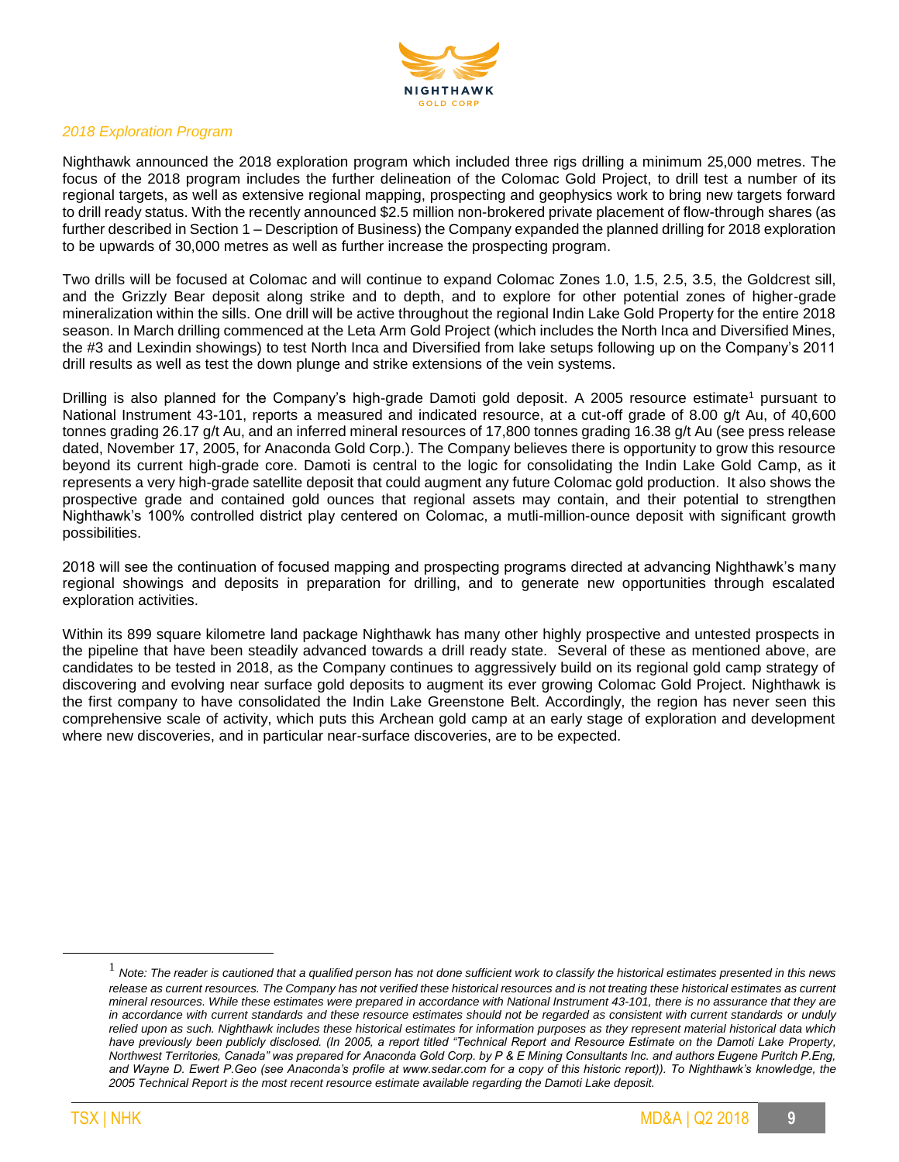

#### *2018 Exploration Program*

Nighthawk announced the 2018 exploration program which included three rigs drilling a minimum 25,000 metres. The focus of the 2018 program includes the further delineation of the Colomac Gold Project, to drill test a number of its regional targets, as well as extensive regional mapping, prospecting and geophysics work to bring new targets forward to drill ready status. With the recently announced \$2.5 million non-brokered private placement of flow-through shares (as further described in Section 1 – Description of Business) the Company expanded the planned drilling for 2018 exploration to be upwards of 30,000 metres as well as further increase the prospecting program.

Two drills will be focused at Colomac and will continue to expand Colomac Zones 1.0, 1.5, 2.5, 3.5, the Goldcrest sill, and the Grizzly Bear deposit along strike and to depth, and to explore for other potential zones of higher-grade mineralization within the sills. One drill will be active throughout the regional Indin Lake Gold Property for the entire 2018 season. In March drilling commenced at the Leta Arm Gold Project (which includes the North Inca and Diversified Mines, the #3 and Lexindin showings) to test North Inca and Diversified from lake setups following up on the Company's 2011 drill results as well as test the down plunge and strike extensions of the vein systems.

Drilling is also planned for the Company's high-grade Damoti gold deposit. A 2005 resource estimate<sup>1</sup> pursuant to National Instrument 43-101, reports a measured and indicated resource, at a cut-off grade of 8.00 g/t Au, of 40,600 tonnes grading 26.17 g/t Au, and an inferred mineral resources of 17,800 tonnes grading 16.38 g/t Au (see press release dated, November 17, 2005, for Anaconda Gold Corp.). The Company believes there is opportunity to grow this resource beyond its current high-grade core. Damoti is central to the logic for consolidating the Indin Lake Gold Camp, as it represents a very high-grade satellite deposit that could augment any future Colomac gold production. It also shows the prospective grade and contained gold ounces that regional assets may contain, and their potential to strengthen Nighthawk's 100% controlled district play centered on Colomac, a mutli-million-ounce deposit with significant growth possibilities.

2018 will see the continuation of focused mapping and prospecting programs directed at advancing Nighthawk's many regional showings and deposits in preparation for drilling, and to generate new opportunities through escalated exploration activities.

Within its 899 square kilometre land package Nighthawk has many other highly prospective and untested prospects in the pipeline that have been steadily advanced towards a drill ready state. Several of these as mentioned above, are candidates to be tested in 2018, as the Company continues to aggressively build on its regional gold camp strategy of discovering and evolving near surface gold deposits to augment its ever growing Colomac Gold Project. Nighthawk is the first company to have consolidated the Indin Lake Greenstone Belt. Accordingly, the region has never seen this comprehensive scale of activity, which puts this Archean gold camp at an early stage of exploration and development where new discoveries, and in particular near-surface discoveries, are to be expected.

 $\overline{a}$ 

<sup>&</sup>lt;sup>1</sup> Note: The reader is cautioned that a qualified person has not done sufficient work to classify the historical estimates presented in this news *release as current resources. The Company has not verified these historical resources and is not treating these historical estimates as current mineral resources. While these estimates were prepared in accordance with National Instrument 43-101, there is no assurance that they are in accordance with current standards and these resource estimates should not be regarded as consistent with current standards or unduly relied upon as such. Nighthawk includes these historical estimates for information purposes as they represent material historical data which have previously been publicly disclosed. (In 2005, a report titled "Technical Report and Resource Estimate on the Damoti Lake Property, Northwest Territories, Canada" was prepared for Anaconda Gold Corp. by P & E Mining Consultants Inc. and authors Eugene Puritch P.Eng,*  and Wayne D. Ewert P. Geo (see Anaconda's profile at www.sedar.com for a copy of this historic report)). To Nighthawk's knowledge, the *2005 Technical Report is the most recent resource estimate available regarding the Damoti Lake deposit.*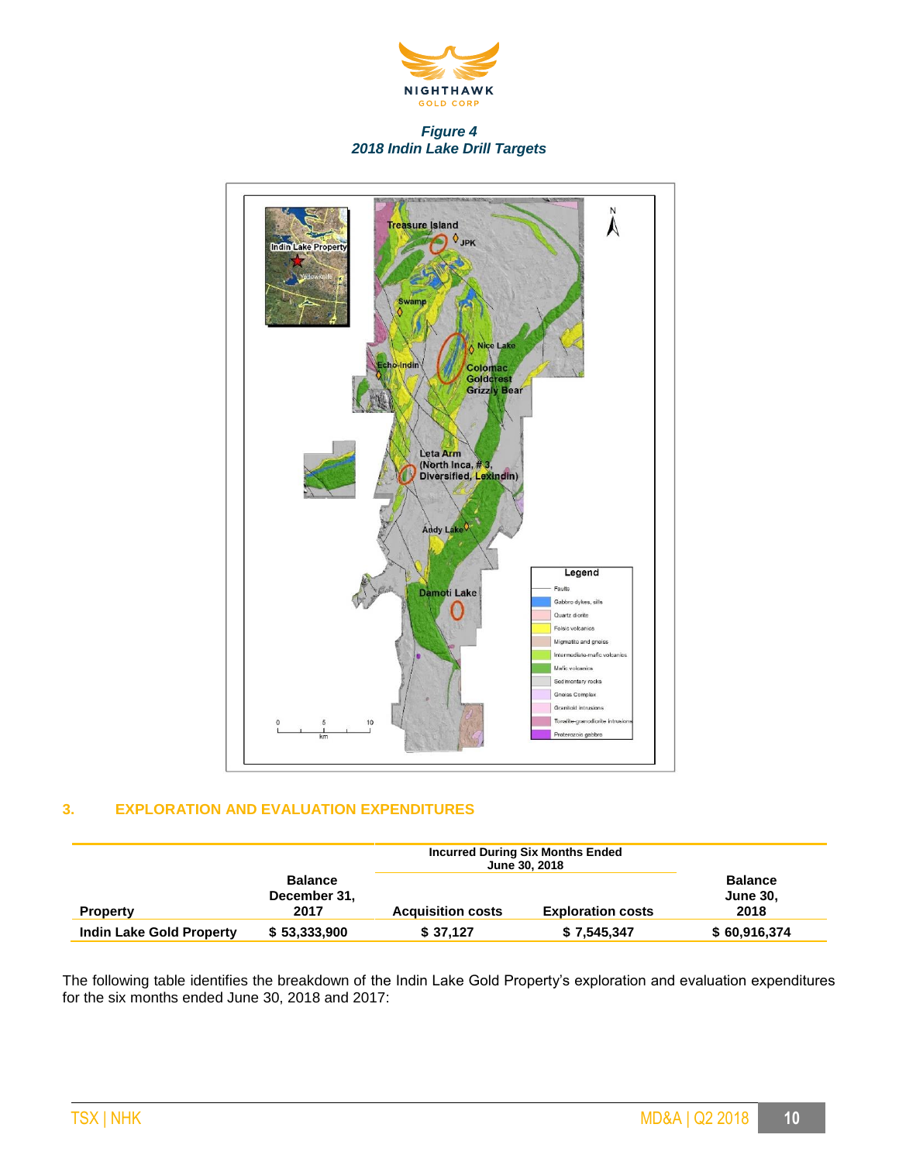

### *Figure 4 2018 Indin Lake Drill Targets*



### **3. EXPLORATION AND EVALUATION EXPENDITURES**

|                                 |                                        | <b>Incurred During Six Months Ended</b><br><b>June 30, 2018</b> |                          |                                           |
|---------------------------------|----------------------------------------|-----------------------------------------------------------------|--------------------------|-------------------------------------------|
| <b>Property</b>                 | <b>Balance</b><br>December 31,<br>2017 | <b>Acquisition costs</b>                                        | <b>Exploration costs</b> | <b>Balance</b><br><b>June 30,</b><br>2018 |
| <b>Indin Lake Gold Property</b> | \$53,333,900                           | \$37,127                                                        | \$7,545,347              | \$60,916,374                              |

The following table identifies the breakdown of the Indin Lake Gold Property's exploration and evaluation expenditures for the six months ended June 30, 2018 and 2017: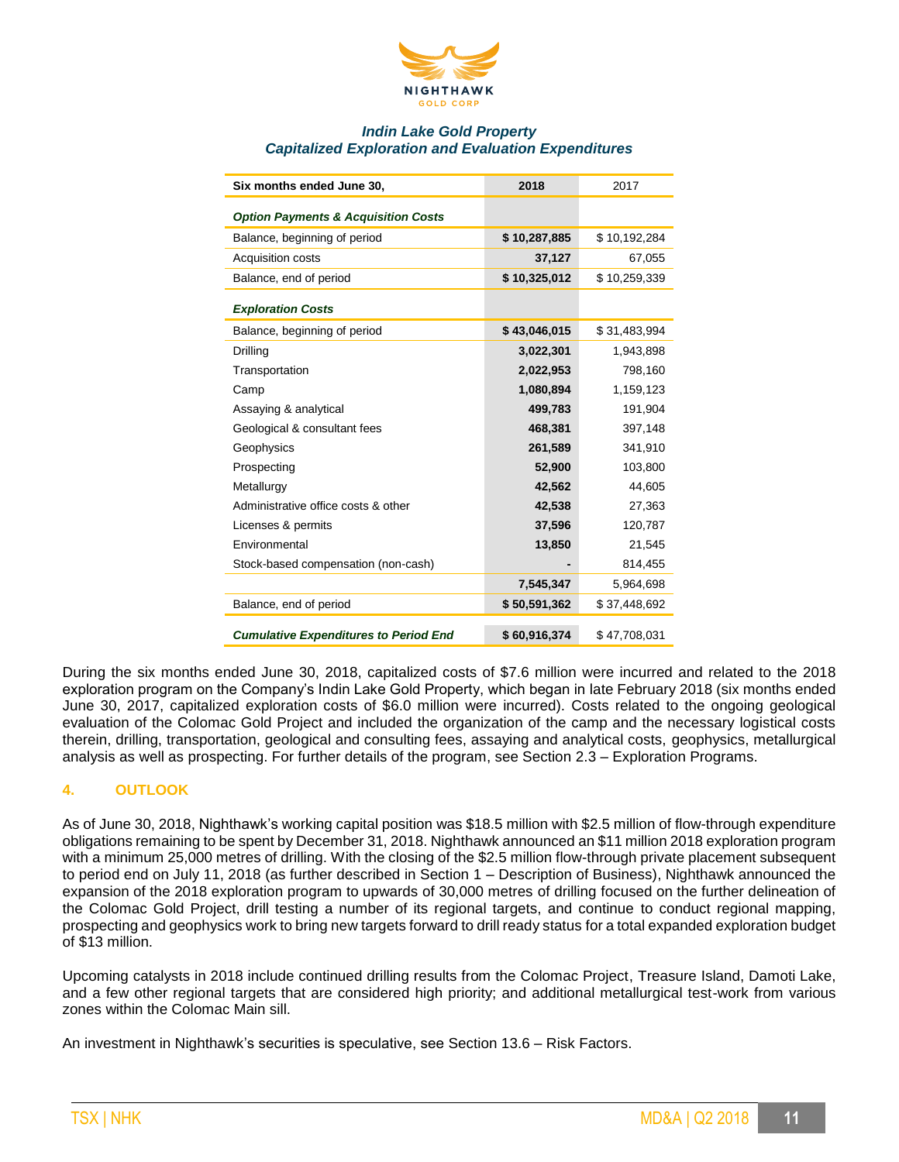

### *Indin Lake Gold Property Capitalized Exploration and Evaluation Expenditures*

| Six months ended June 30,                      | 2018         | 2017         |
|------------------------------------------------|--------------|--------------|
| <b>Option Payments &amp; Acquisition Costs</b> |              |              |
| Balance, beginning of period                   | \$10,287,885 | \$10,192,284 |
| Acquisition costs                              | 37,127       | 67,055       |
| Balance, end of period                         | \$10,325,012 | \$10,259,339 |
| <b>Exploration Costs</b>                       |              |              |
| Balance, beginning of period                   | \$43,046,015 | \$31,483,994 |
| Drilling                                       | 3,022,301    | 1,943,898    |
| Transportation                                 | 2,022,953    | 798,160      |
| Camp                                           | 1,080,894    | 1,159,123    |
| Assaying & analytical                          | 499,783      | 191,904      |
| Geological & consultant fees                   | 468,381      | 397,148      |
| Geophysics                                     | 261,589      | 341,910      |
| Prospecting                                    | 52,900       | 103,800      |
| Metallurgy                                     | 42,562       | 44,605       |
| Administrative office costs & other            | 42,538       | 27,363       |
| Licenses & permits                             | 37,596       | 120,787      |
| Environmental                                  | 13,850       | 21,545       |
| Stock-based compensation (non-cash)            |              | 814,455      |
|                                                | 7,545,347    | 5,964,698    |
| Balance, end of period                         | \$50,591,362 | \$37,448,692 |
| <b>Cumulative Expenditures to Period End</b>   | \$60,916,374 | \$47,708,031 |

During the six months ended June 30, 2018, capitalized costs of \$7.6 million were incurred and related to the 2018 exploration program on the Company's Indin Lake Gold Property, which began in late February 2018 (six months ended June 30, 2017, capitalized exploration costs of \$6.0 million were incurred). Costs related to the ongoing geological evaluation of the Colomac Gold Project and included the organization of the camp and the necessary logistical costs therein, drilling, transportation, geological and consulting fees, assaying and analytical costs, geophysics, metallurgical analysis as well as prospecting. For further details of the program, see Section 2.3 – Exploration Programs.

### **4. OUTLOOK**

As of June 30, 2018, Nighthawk's working capital position was \$18.5 million with \$2.5 million of flow-through expenditure obligations remaining to be spent by December 31, 2018. Nighthawk announced an \$11 million 2018 exploration program with a minimum 25,000 metres of drilling. With the closing of the \$2.5 million flow-through private placement subsequent to period end on July 11, 2018 (as further described in Section 1 – Description of Business), Nighthawk announced the expansion of the 2018 exploration program to upwards of 30,000 metres of drilling focused on the further delineation of the Colomac Gold Project, drill testing a number of its regional targets, and continue to conduct regional mapping, prospecting and geophysics work to bring new targets forward to drill ready status for a total expanded exploration budget of \$13 million.

Upcoming catalysts in 2018 include continued drilling results from the Colomac Project, Treasure Island, Damoti Lake, and a few other regional targets that are considered high priority; and additional metallurgical test-work from various zones within the Colomac Main sill.

An investment in Nighthawk's securities is speculative, see Section 13.6 – Risk Factors.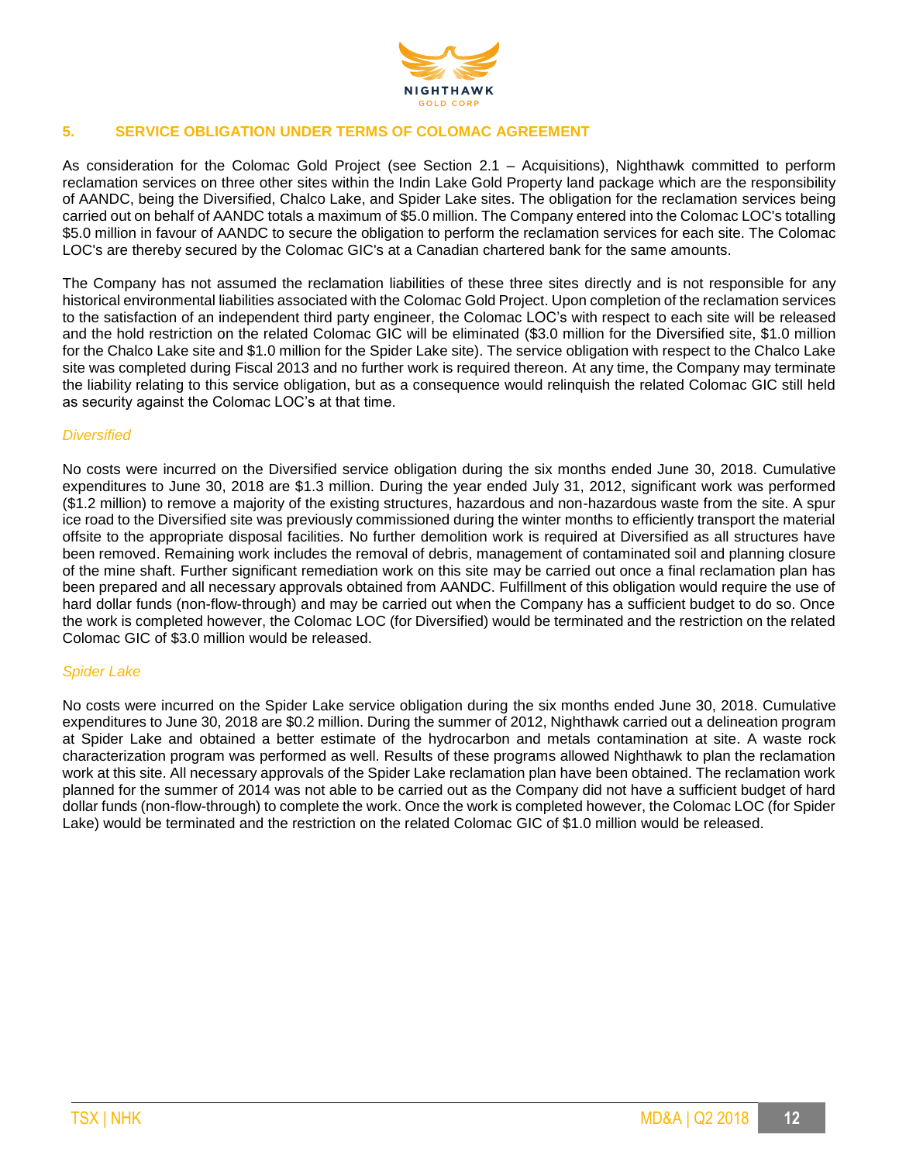

### **5. SERVICE OBLIGATION UNDER TERMS OF COLOMAC AGREEMENT**

As consideration for the Colomac Gold Project (see Section 2.1 – Acquisitions), Nighthawk committed to perform reclamation services on three other sites within the Indin Lake Gold Property land package which are the responsibility of AANDC, being the Diversified, Chalco Lake, and Spider Lake sites. The obligation for the reclamation services being carried out on behalf of AANDC totals a maximum of \$5.0 million. The Company entered into the Colomac LOC's totalling \$5.0 million in favour of AANDC to secure the obligation to perform the reclamation services for each site. The Colomac LOC's are thereby secured by the Colomac GIC's at a Canadian chartered bank for the same amounts.

The Company has not assumed the reclamation liabilities of these three sites directly and is not responsible for any historical environmental liabilities associated with the Colomac Gold Project. Upon completion of the reclamation services to the satisfaction of an independent third party engineer, the Colomac LOC's with respect to each site will be released and the hold restriction on the related Colomac GIC will be eliminated (\$3.0 million for the Diversified site, \$1.0 million for the Chalco Lake site and \$1.0 million for the Spider Lake site). The service obligation with respect to the Chalco Lake site was completed during Fiscal 2013 and no further work is required thereon. At any time, the Company may terminate the liability relating to this service obligation, but as a consequence would relinquish the related Colomac GIC still held as security against the Colomac LOC's at that time.

### *Diversified*

No costs were incurred on the Diversified service obligation during the six months ended June 30, 2018. Cumulative expenditures to June 30, 2018 are \$1.3 million. During the year ended July 31, 2012, significant work was performed (\$1.2 million) to remove a majority of the existing structures, hazardous and non-hazardous waste from the site. A spur ice road to the Diversified site was previously commissioned during the winter months to efficiently transport the material offsite to the appropriate disposal facilities. No further demolition work is required at Diversified as all structures have been removed. Remaining work includes the removal of debris, management of contaminated soil and planning closure of the mine shaft. Further significant remediation work on this site may be carried out once a final reclamation plan has been prepared and all necessary approvals obtained from AANDC. Fulfillment of this obligation would require the use of hard dollar funds (non-flow-through) and may be carried out when the Company has a sufficient budget to do so. Once the work is completed however, the Colomac LOC (for Diversified) would be terminated and the restriction on the related Colomac GIC of \$3.0 million would be released.

### *Spider Lake*

No costs were incurred on the Spider Lake service obligation during the six months ended June 30, 2018. Cumulative expenditures to June 30, 2018 are \$0.2 million. During the summer of 2012, Nighthawk carried out a delineation program at Spider Lake and obtained a better estimate of the hydrocarbon and metals contamination at site. A waste rock characterization program was performed as well. Results of these programs allowed Nighthawk to plan the reclamation work at this site. All necessary approvals of the Spider Lake reclamation plan have been obtained. The reclamation work planned for the summer of 2014 was not able to be carried out as the Company did not have a sufficient budget of hard dollar funds (non-flow-through) to complete the work. Once the work is completed however, the Colomac LOC (for Spider Lake) would be terminated and the restriction on the related Colomac GIC of \$1.0 million would be released.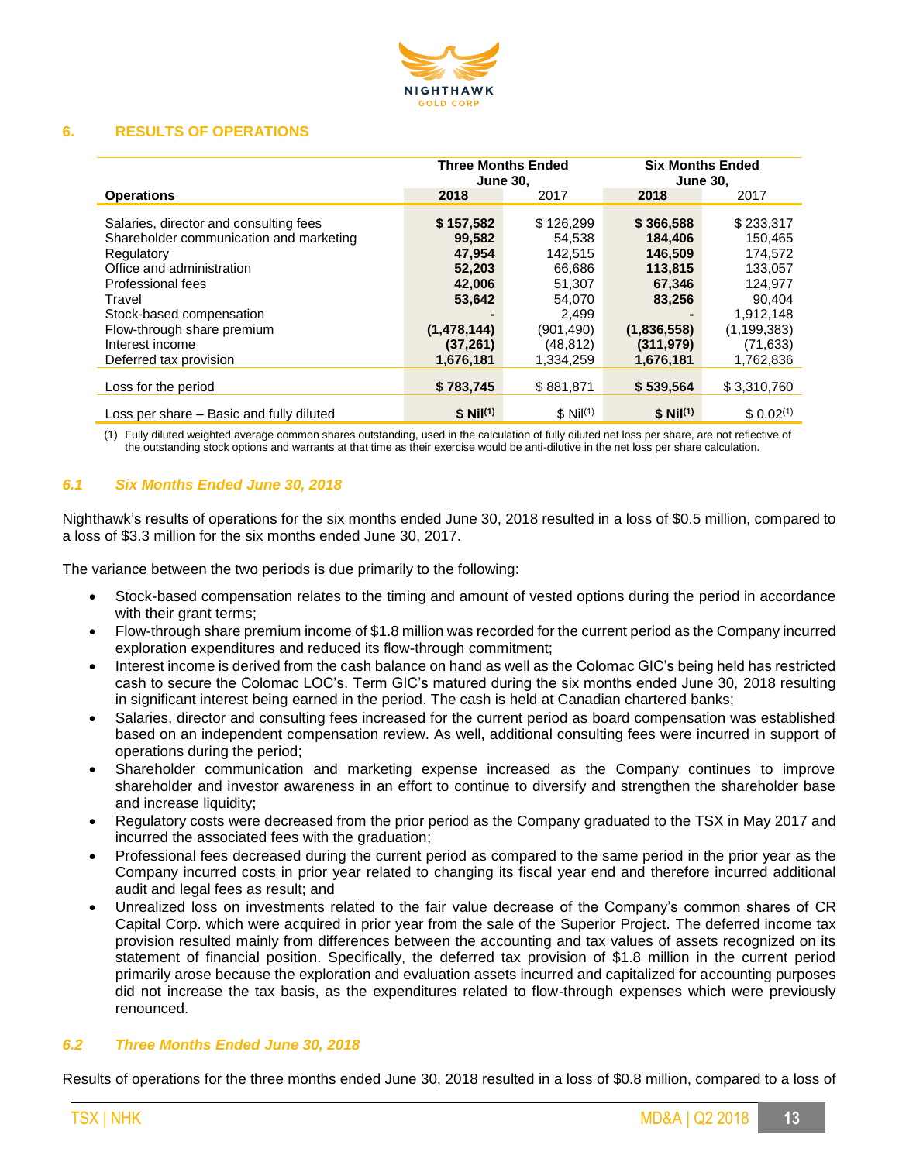

#### **6. RESULTS OF OPERATIONS**

|                                                                                                                                                                                                                                                                    | <b>Three Months Ended</b><br><b>June 30,</b>                                                         |                                                                                                              | <b>Six Months Ended</b><br><b>June 30,</b>                                                               |                                                                                                                        |
|--------------------------------------------------------------------------------------------------------------------------------------------------------------------------------------------------------------------------------------------------------------------|------------------------------------------------------------------------------------------------------|--------------------------------------------------------------------------------------------------------------|----------------------------------------------------------------------------------------------------------|------------------------------------------------------------------------------------------------------------------------|
| <b>Operations</b>                                                                                                                                                                                                                                                  | 2018                                                                                                 | 2017                                                                                                         | 2018                                                                                                     | 2017                                                                                                                   |
| Salaries, director and consulting fees<br>Shareholder communication and marketing<br>Regulatory<br>Office and administration<br>Professional fees<br>Travel<br>Stock-based compensation<br>Flow-through share premium<br>Interest income<br>Deferred tax provision | \$157,582<br>99,582<br>47,954<br>52,203<br>42,006<br>53,642<br>(1,478,144)<br>(37, 261)<br>1,676,181 | \$126,299<br>54,538<br>142,515<br>66,686<br>51,307<br>54,070<br>2.499<br>(901.490)<br>(48, 812)<br>1,334,259 | \$366,588<br>184,406<br>146,509<br>113,815<br>67.346<br>83,256<br>(1,836,558)<br>(311, 979)<br>1,676,181 | \$233,317<br>150,465<br>174,572<br>133,057<br>124.977<br>90,404<br>1.912.148<br>(1, 199, 383)<br>(71,633)<br>1,762,836 |
| Loss for the period                                                                                                                                                                                                                                                | \$783,745                                                                                            | \$881,871                                                                                                    | \$539,564                                                                                                | \$3,310,760                                                                                                            |
| Loss per share - Basic and fully diluted                                                                                                                                                                                                                           | $$ Nil^{(1)}$$                                                                                       | $$$ Nil <sup>(1)</sup>                                                                                       | $$ Nil^{(1)}$$                                                                                           | \$0.02 <sup>(1)</sup>                                                                                                  |

(1) Fully diluted weighted average common shares outstanding, used in the calculation of fully diluted net loss per share, are not reflective of the outstanding stock options and warrants at that time as their exercise would be anti-dilutive in the net loss per share calculation.

### *6.1 Six Months Ended June 30, 2018*

Nighthawk's results of operations for the six months ended June 30, 2018 resulted in a loss of \$0.5 million, compared to a loss of \$3.3 million for the six months ended June 30, 2017.

The variance between the two periods is due primarily to the following:

- Stock-based compensation relates to the timing and amount of vested options during the period in accordance with their grant terms;
- Flow-through share premium income of \$1.8 million was recorded for the current period as the Company incurred exploration expenditures and reduced its flow-through commitment;
- Interest income is derived from the cash balance on hand as well as the Colomac GIC's being held has restricted cash to secure the Colomac LOC's. Term GIC's matured during the six months ended June 30, 2018 resulting in significant interest being earned in the period. The cash is held at Canadian chartered banks;
- Salaries, director and consulting fees increased for the current period as board compensation was established based on an independent compensation review. As well, additional consulting fees were incurred in support of operations during the period;
- Shareholder communication and marketing expense increased as the Company continues to improve shareholder and investor awareness in an effort to continue to diversify and strengthen the shareholder base and increase liquidity;
- Regulatory costs were decreased from the prior period as the Company graduated to the TSX in May 2017 and incurred the associated fees with the graduation;
- Professional fees decreased during the current period as compared to the same period in the prior year as the Company incurred costs in prior year related to changing its fiscal year end and therefore incurred additional audit and legal fees as result; and
- Unrealized loss on investments related to the fair value decrease of the Company's common shares of CR Capital Corp. which were acquired in prior year from the sale of the Superior Project. The deferred income tax provision resulted mainly from differences between the accounting and tax values of assets recognized on its statement of financial position. Specifically, the deferred tax provision of \$1.8 million in the current period primarily arose because the exploration and evaluation assets incurred and capitalized for accounting purposes did not increase the tax basis, as the expenditures related to flow-through expenses which were previously renounced.

#### *6.2 Three Months Ended June 30, 2018*

Results of operations for the three months ended June 30, 2018 resulted in a loss of \$0.8 million, compared to a loss of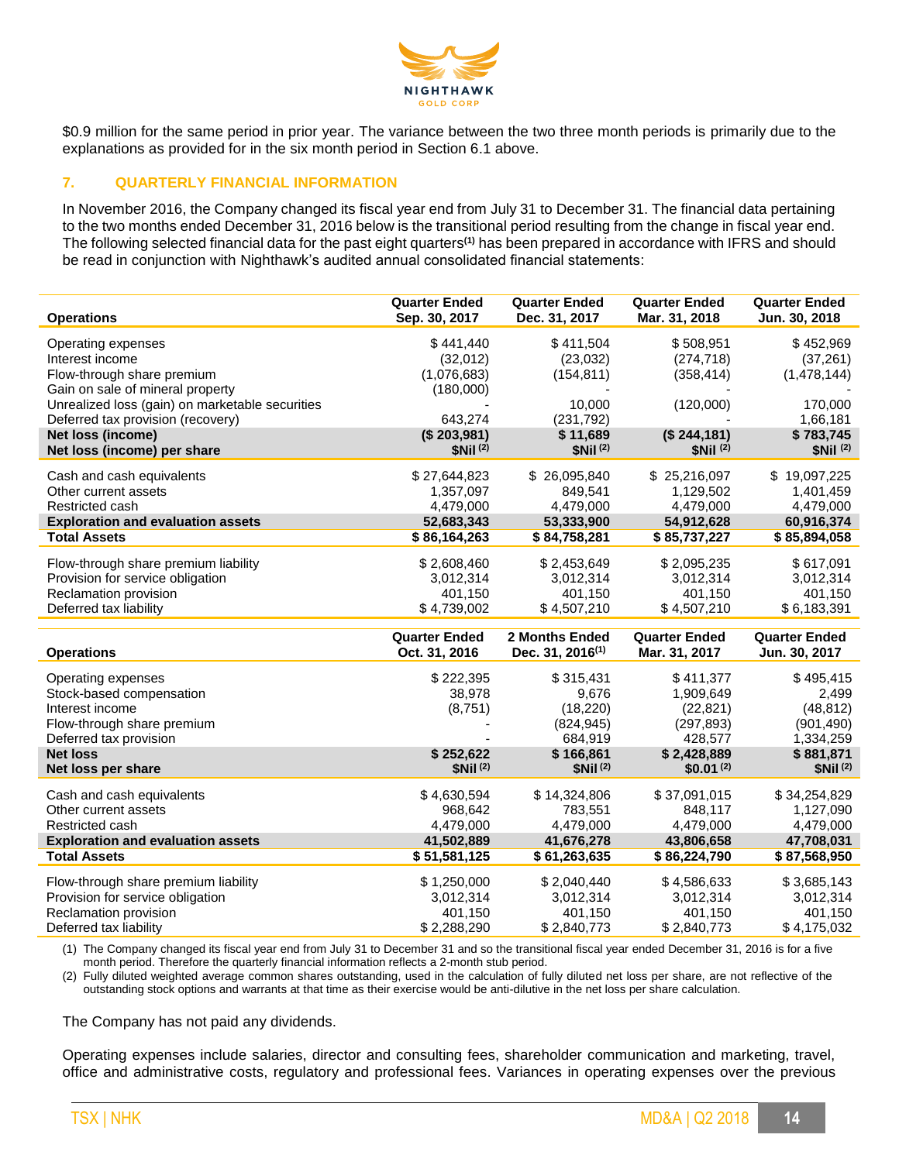

\$0.9 million for the same period in prior year. The variance between the two three month periods is primarily due to the explanations as provided for in the six month period in Section 6.1 above.

### **7. QUARTERLY FINANCIAL INFORMATION**

In November 2016, the Company changed its fiscal year end from July 31 to December 31. The financial data pertaining to the two months ended December 31, 2016 below is the transitional period resulting from the change in fiscal year end. The following selected financial data for the past eight quarters**(1)** has been prepared in accordance with IFRS and should be read in conjunction with Nighthawk's audited annual consolidated financial statements:

| <b>Operations</b>                               | <b>Quarter Ended</b><br>Sep. 30, 2017 | <b>Quarter Ended</b><br>Dec. 31, 2017 | <b>Quarter Ended</b><br>Mar. 31, 2018 | <b>Quarter Ended</b><br>Jun. 30, 2018 |
|-------------------------------------------------|---------------------------------------|---------------------------------------|---------------------------------------|---------------------------------------|
| Operating expenses                              | \$441,440                             | \$411,504                             | \$508,951                             | \$452,969                             |
| Interest income                                 | (32,012)                              | (23, 032)                             | (274, 718)                            | (37, 261)                             |
| Flow-through share premium                      | (1,076,683)                           | (154, 811)                            | (358, 414)                            | (1,478,144)                           |
| Gain on sale of mineral property                | (180,000)                             |                                       |                                       |                                       |
| Unrealized loss (gain) on marketable securities |                                       | 10.000                                | (120,000)                             | 170,000                               |
| Deferred tax provision (recovery)               | 643,274                               | (231, 792)                            |                                       | 1,66,181                              |
| Net loss (income)                               | (\$203,981)                           | \$11,689                              | (\$244,181)                           | \$783,745                             |
| Net loss (income) per share                     | \$Nil <sup>(2)</sup>                  | \$Nil <sup>(2)</sup>                  | \$Nil <sup>(2)</sup>                  | \$Nil <sup>(2)</sup>                  |
| Cash and cash equivalents                       | \$27,644,823                          | \$26,095,840                          | \$25,216,097                          | \$19,097,225                          |
| Other current assets                            | 1,357,097                             | 849,541                               | 1,129,502                             | 1,401,459                             |
| Restricted cash                                 | 4,479,000                             | 4,479,000                             | 4,479,000                             | 4,479,000                             |
| <b>Exploration and evaluation assets</b>        | 52,683,343                            | 53,333,900                            | 54,912,628                            | 60,916,374                            |
| <b>Total Assets</b>                             | \$86,164,263                          | \$84,758,281                          | \$85,737,227                          | \$85,894,058                          |
| Flow-through share premium liability            | \$2,608,460                           | \$2,453,649                           | \$2,095,235                           | \$617,091                             |
| Provision for service obligation                | 3,012,314                             | 3,012,314                             | 3,012,314                             | 3,012,314                             |
| Reclamation provision                           | 401,150                               | 401,150                               | 401,150                               | 401,150                               |
| Deferred tax liability                          | \$4,739,002                           | \$4,507,210                           | \$4,507,210                           | \$6,183,391                           |
|                                                 |                                       |                                       |                                       |                                       |
|                                                 | <b>Quarter Ended</b>                  | 2 Months Ended                        | <b>Quarter Ended</b>                  | <b>Quarter Ended</b>                  |
| <b>Operations</b>                               | Oct. 31, 2016                         | Dec. 31, 2016 <sup>(1)</sup>          | Mar. 31, 2017                         | Jun. 30, 2017                         |
| Operating expenses                              | \$222,395                             | \$315,431                             | \$411,377                             | \$495,415                             |
| Stock-based compensation                        | 38,978                                | 9,676                                 | 1,909,649                             | 2,499                                 |
| Interest income                                 | (8,751)                               | (18, 220)                             | (22, 821)                             | (48, 812)                             |
| Flow-through share premium                      |                                       | (824, 945)                            | (297, 893)                            | (901, 490)                            |
| Deferred tax provision                          |                                       | 684,919                               | 428,577                               | 1,334,259                             |
| <b>Net loss</b>                                 | \$252,622                             | \$166,861                             | \$2,428,889                           | \$881,871                             |
| Net loss per share                              | \$Nil(2)                              | \$Nil <sup>(2)</sup>                  | $$0.01^{(2)}$                         | \$Nil(2)                              |
| Cash and cash equivalents                       | \$4.630.594                           | \$14,324,806                          | \$37,091,015                          | \$34,254,829                          |
| Other current assets                            | 968,642                               | 783,551                               | 848,117                               | 1,127,090                             |
| Restricted cash                                 | 4,479,000                             | 4,479,000                             | 4,479,000                             | 4,479,000                             |
| <b>Exploration and evaluation assets</b>        | 41,502,889                            | 41,676,278                            | 43,806,658                            | 47,708,031                            |
| <b>Total Assets</b>                             | \$51,581,125                          | \$61,263,635                          | \$86,224,790                          | \$87,568,950                          |
| Flow-through share premium liability            | \$1,250,000                           | \$2,040,440                           | \$4,586,633                           | \$3,685,143                           |
| Provision for service obligation                | 3,012,314                             | 3,012,314                             | 3,012,314                             | 3,012,314                             |
| Reclamation provision                           | 401,150                               | 401,150                               | 401,150                               | 401,150                               |
| Deferred tax liability                          | \$2,288,290                           | \$2,840,773                           | \$2,840,773                           | \$4,175,032                           |

(1) The Company changed its fiscal year end from July 31 to December 31 and so the transitional fiscal year ended December 31, 2016 is for a five month period. Therefore the quarterly financial information reflects a 2-month stub period.

(2) Fully diluted weighted average common shares outstanding, used in the calculation of fully diluted net loss per share, are not reflective of the outstanding stock options and warrants at that time as their exercise would be anti-dilutive in the net loss per share calculation.

The Company has not paid any dividends.

Operating expenses include salaries, director and consulting fees, shareholder communication and marketing, travel, office and administrative costs, regulatory and professional fees. Variances in operating expenses over the previous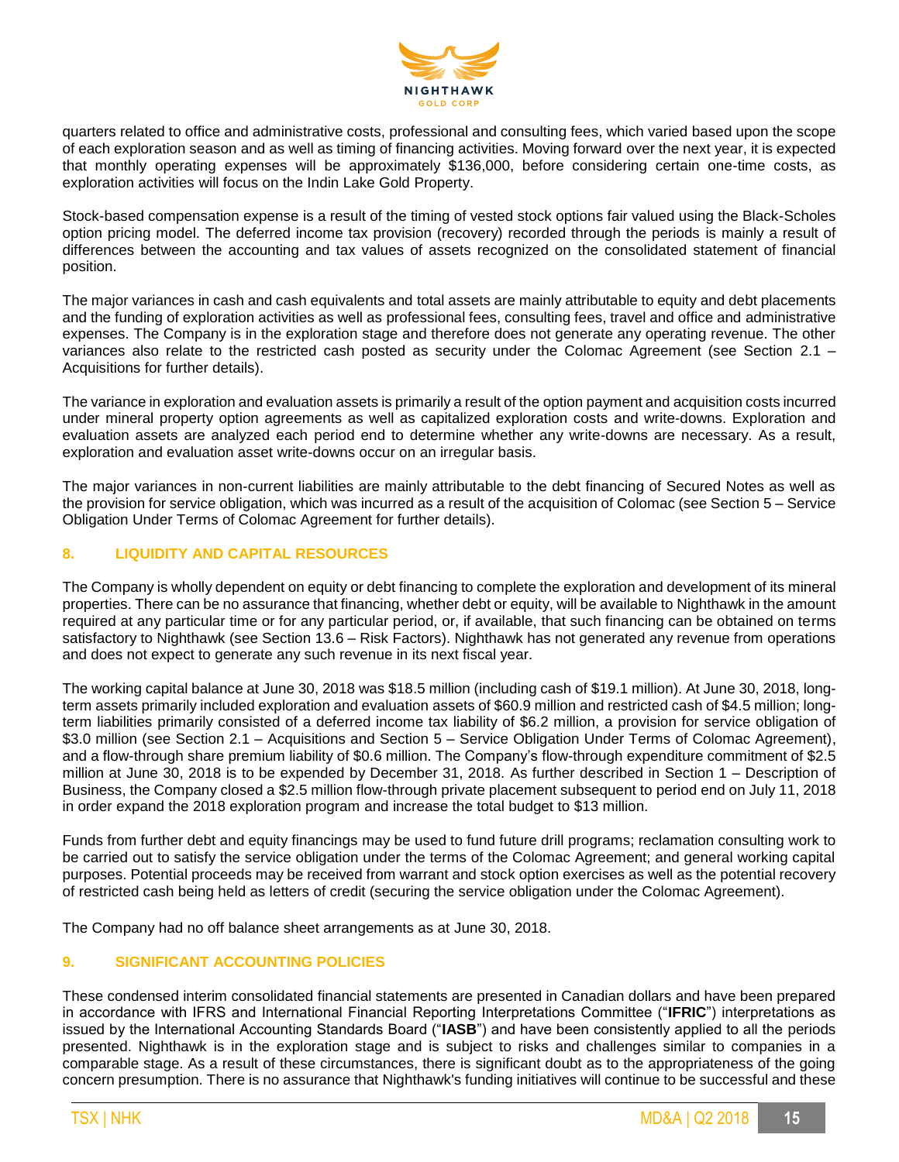

quarters related to office and administrative costs, professional and consulting fees, which varied based upon the scope of each exploration season and as well as timing of financing activities. Moving forward over the next year, it is expected that monthly operating expenses will be approximately \$136,000, before considering certain one-time costs, as exploration activities will focus on the Indin Lake Gold Property.

Stock-based compensation expense is a result of the timing of vested stock options fair valued using the Black-Scholes option pricing model. The deferred income tax provision (recovery) recorded through the periods is mainly a result of differences between the accounting and tax values of assets recognized on the consolidated statement of financial position.

The major variances in cash and cash equivalents and total assets are mainly attributable to equity and debt placements and the funding of exploration activities as well as professional fees, consulting fees, travel and office and administrative expenses. The Company is in the exploration stage and therefore does not generate any operating revenue. The other variances also relate to the restricted cash posted as security under the Colomac Agreement (see Section 2.1 – Acquisitions for further details).

The variance in exploration and evaluation assets is primarily a result of the option payment and acquisition costs incurred under mineral property option agreements as well as capitalized exploration costs and write-downs. Exploration and evaluation assets are analyzed each period end to determine whether any write-downs are necessary. As a result, exploration and evaluation asset write-downs occur on an irregular basis.

The major variances in non-current liabilities are mainly attributable to the debt financing of Secured Notes as well as the provision for service obligation, which was incurred as a result of the acquisition of Colomac (see Section 5 – Service Obligation Under Terms of Colomac Agreement for further details).

### **8. LIQUIDITY AND CAPITAL RESOURCES**

The Company is wholly dependent on equity or debt financing to complete the exploration and development of its mineral properties. There can be no assurance that financing, whether debt or equity, will be available to Nighthawk in the amount required at any particular time or for any particular period, or, if available, that such financing can be obtained on terms satisfactory to Nighthawk (see Section 13.6 – Risk Factors). Nighthawk has not generated any revenue from operations and does not expect to generate any such revenue in its next fiscal year.

The working capital balance at June 30, 2018 was \$18.5 million (including cash of \$19.1 million). At June 30, 2018, longterm assets primarily included exploration and evaluation assets of \$60.9 million and restricted cash of \$4.5 million; longterm liabilities primarily consisted of a deferred income tax liability of \$6.2 million, a provision for service obligation of \$3.0 million (see Section 2.1 – Acquisitions and Section 5 – Service Obligation Under Terms of Colomac Agreement), and a flow-through share premium liability of \$0.6 million. The Company's flow-through expenditure commitment of \$2.5 million at June 30, 2018 is to be expended by December 31, 2018. As further described in Section 1 – Description of Business, the Company closed a \$2.5 million flow-through private placement subsequent to period end on July 11, 2018 in order expand the 2018 exploration program and increase the total budget to \$13 million.

Funds from further debt and equity financings may be used to fund future drill programs; reclamation consulting work to be carried out to satisfy the service obligation under the terms of the Colomac Agreement; and general working capital purposes. Potential proceeds may be received from warrant and stock option exercises as well as the potential recovery of restricted cash being held as letters of credit (securing the service obligation under the Colomac Agreement).

The Company had no off balance sheet arrangements as at June 30, 2018.

### **9. SIGNIFICANT ACCOUNTING POLICIES**

These condensed interim consolidated financial statements are presented in Canadian dollars and have been prepared in accordance with IFRS and International Financial Reporting Interpretations Committee ("**IFRIC**") interpretations as issued by the International Accounting Standards Board ("**IASB**") and have been consistently applied to all the periods presented. Nighthawk is in the exploration stage and is subject to risks and challenges similar to companies in a comparable stage. As a result of these circumstances, there is significant doubt as to the appropriateness of the going concern presumption. There is no assurance that Nighthawk's funding initiatives will continue to be successful and these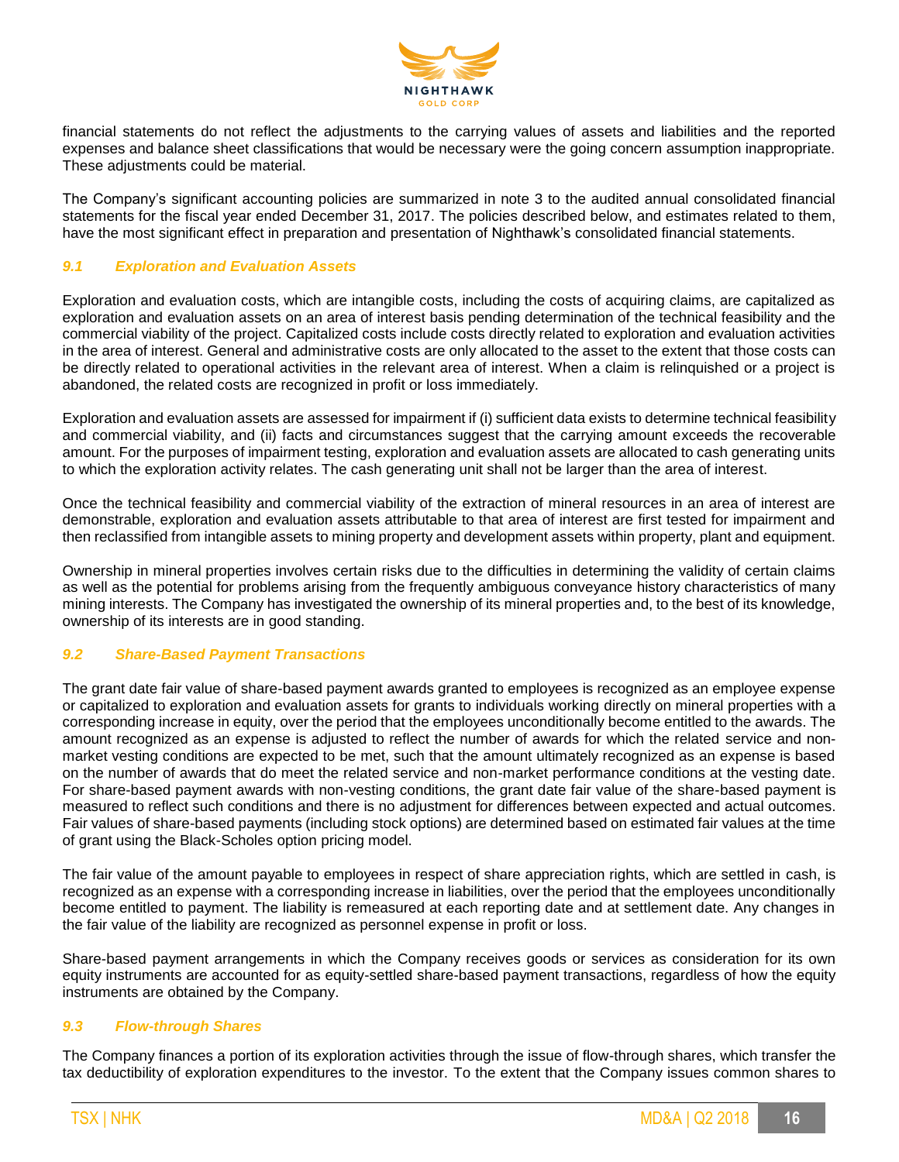

financial statements do not reflect the adjustments to the carrying values of assets and liabilities and the reported expenses and balance sheet classifications that would be necessary were the going concern assumption inappropriate. These adjustments could be material.

The Company's significant accounting policies are summarized in note 3 to the audited annual consolidated financial statements for the fiscal year ended December 31, 2017. The policies described below, and estimates related to them, have the most significant effect in preparation and presentation of Nighthawk's consolidated financial statements.

### *9.1 Exploration and Evaluation Assets*

Exploration and evaluation costs, which are intangible costs, including the costs of acquiring claims, are capitalized as exploration and evaluation assets on an area of interest basis pending determination of the technical feasibility and the commercial viability of the project. Capitalized costs include costs directly related to exploration and evaluation activities in the area of interest. General and administrative costs are only allocated to the asset to the extent that those costs can be directly related to operational activities in the relevant area of interest. When a claim is relinquished or a project is abandoned, the related costs are recognized in profit or loss immediately.

Exploration and evaluation assets are assessed for impairment if (i) sufficient data exists to determine technical feasibility and commercial viability, and (ii) facts and circumstances suggest that the carrying amount exceeds the recoverable amount. For the purposes of impairment testing, exploration and evaluation assets are allocated to cash generating units to which the exploration activity relates. The cash generating unit shall not be larger than the area of interest.

Once the technical feasibility and commercial viability of the extraction of mineral resources in an area of interest are demonstrable, exploration and evaluation assets attributable to that area of interest are first tested for impairment and then reclassified from intangible assets to mining property and development assets within property, plant and equipment.

Ownership in mineral properties involves certain risks due to the difficulties in determining the validity of certain claims as well as the potential for problems arising from the frequently ambiguous conveyance history characteristics of many mining interests. The Company has investigated the ownership of its mineral properties and, to the best of its knowledge, ownership of its interests are in good standing.

### *9.2 Share-Based Payment Transactions*

The grant date fair value of share-based payment awards granted to employees is recognized as an employee expense or capitalized to exploration and evaluation assets for grants to individuals working directly on mineral properties with a corresponding increase in equity, over the period that the employees unconditionally become entitled to the awards. The amount recognized as an expense is adjusted to reflect the number of awards for which the related service and nonmarket vesting conditions are expected to be met, such that the amount ultimately recognized as an expense is based on the number of awards that do meet the related service and non-market performance conditions at the vesting date. For share-based payment awards with non-vesting conditions, the grant date fair value of the share-based payment is measured to reflect such conditions and there is no adjustment for differences between expected and actual outcomes. Fair values of share-based payments (including stock options) are determined based on estimated fair values at the time of grant using the Black-Scholes option pricing model.

The fair value of the amount payable to employees in respect of share appreciation rights, which are settled in cash, is recognized as an expense with a corresponding increase in liabilities, over the period that the employees unconditionally become entitled to payment. The liability is remeasured at each reporting date and at settlement date. Any changes in the fair value of the liability are recognized as personnel expense in profit or loss.

Share-based payment arrangements in which the Company receives goods or services as consideration for its own equity instruments are accounted for as equity-settled share-based payment transactions, regardless of how the equity instruments are obtained by the Company.

### *9.3 Flow-through Shares*

The Company finances a portion of its exploration activities through the issue of flow-through shares, which transfer the tax deductibility of exploration expenditures to the investor. To the extent that the Company issues common shares to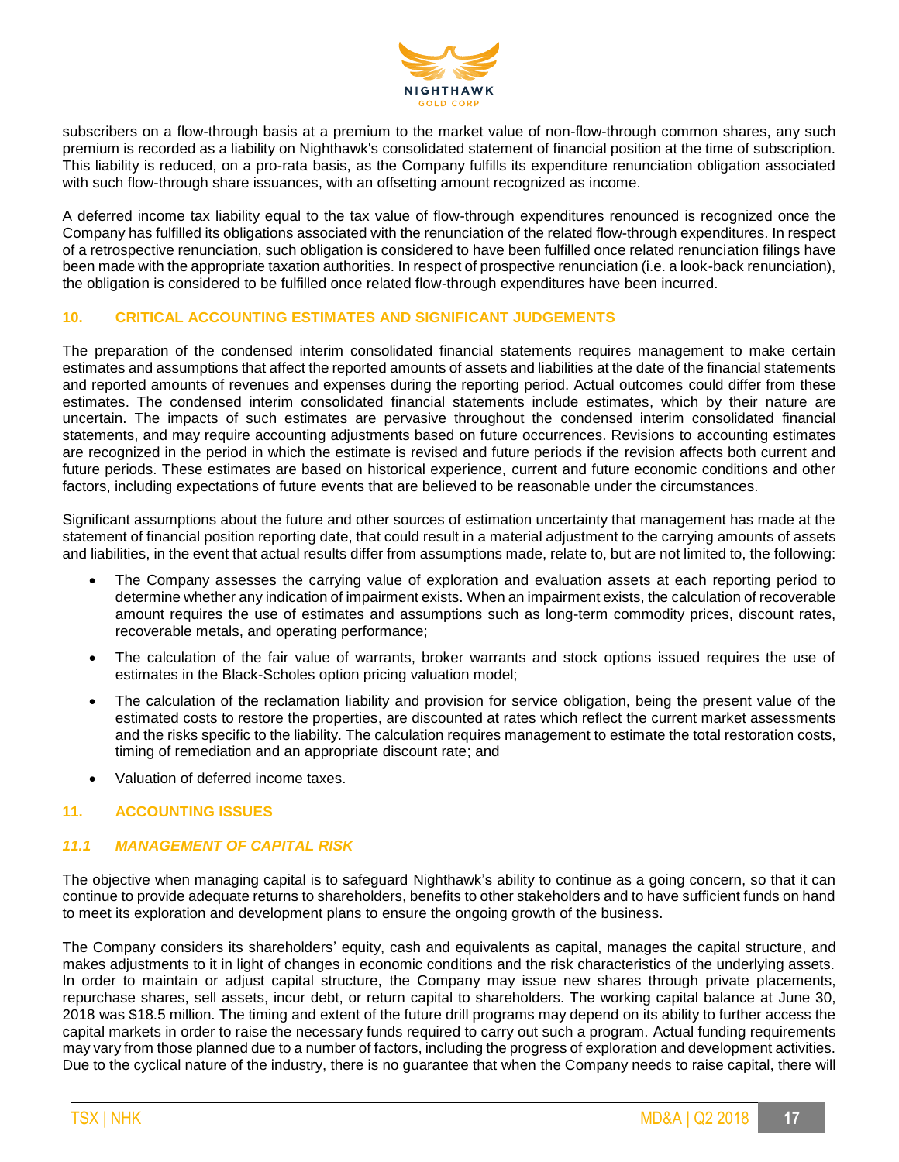

subscribers on a flow-through basis at a premium to the market value of non-flow-through common shares, any such premium is recorded as a liability on Nighthawk's consolidated statement of financial position at the time of subscription. This liability is reduced, on a pro-rata basis, as the Company fulfills its expenditure renunciation obligation associated with such flow-through share issuances, with an offsetting amount recognized as income.

A deferred income tax liability equal to the tax value of flow-through expenditures renounced is recognized once the Company has fulfilled its obligations associated with the renunciation of the related flow-through expenditures. In respect of a retrospective renunciation, such obligation is considered to have been fulfilled once related renunciation filings have been made with the appropriate taxation authorities. In respect of prospective renunciation (i.e. a look-back renunciation), the obligation is considered to be fulfilled once related flow-through expenditures have been incurred.

### **10. CRITICAL ACCOUNTING ESTIMATES AND SIGNIFICANT JUDGEMENTS**

The preparation of the condensed interim consolidated financial statements requires management to make certain estimates and assumptions that affect the reported amounts of assets and liabilities at the date of the financial statements and reported amounts of revenues and expenses during the reporting period. Actual outcomes could differ from these estimates. The condensed interim consolidated financial statements include estimates, which by their nature are uncertain. The impacts of such estimates are pervasive throughout the condensed interim consolidated financial statements, and may require accounting adjustments based on future occurrences. Revisions to accounting estimates are recognized in the period in which the estimate is revised and future periods if the revision affects both current and future periods. These estimates are based on historical experience, current and future economic conditions and other factors, including expectations of future events that are believed to be reasonable under the circumstances.

Significant assumptions about the future and other sources of estimation uncertainty that management has made at the statement of financial position reporting date, that could result in a material adjustment to the carrying amounts of assets and liabilities, in the event that actual results differ from assumptions made, relate to, but are not limited to, the following:

- The Company assesses the carrying value of exploration and evaluation assets at each reporting period to determine whether any indication of impairment exists. When an impairment exists, the calculation of recoverable amount requires the use of estimates and assumptions such as long-term commodity prices, discount rates, recoverable metals, and operating performance;
- The calculation of the fair value of warrants, broker warrants and stock options issued requires the use of estimates in the Black-Scholes option pricing valuation model;
- The calculation of the reclamation liability and provision for service obligation, being the present value of the estimated costs to restore the properties, are discounted at rates which reflect the current market assessments and the risks specific to the liability. The calculation requires management to estimate the total restoration costs, timing of remediation and an appropriate discount rate; and
- Valuation of deferred income taxes.

### **11. ACCOUNTING ISSUES**

### *11.1 MANAGEMENT OF CAPITAL RISK*

The objective when managing capital is to safeguard Nighthawk's ability to continue as a going concern, so that it can continue to provide adequate returns to shareholders, benefits to other stakeholders and to have sufficient funds on hand to meet its exploration and development plans to ensure the ongoing growth of the business.

The Company considers its shareholders' equity, cash and equivalents as capital, manages the capital structure, and makes adjustments to it in light of changes in economic conditions and the risk characteristics of the underlying assets. In order to maintain or adjust capital structure, the Company may issue new shares through private placements, repurchase shares, sell assets, incur debt, or return capital to shareholders. The working capital balance at June 30, 2018 was \$18.5 million. The timing and extent of the future drill programs may depend on its ability to further access the capital markets in order to raise the necessary funds required to carry out such a program. Actual funding requirements may vary from those planned due to a number of factors, including the progress of exploration and development activities. Due to the cyclical nature of the industry, there is no guarantee that when the Company needs to raise capital, there will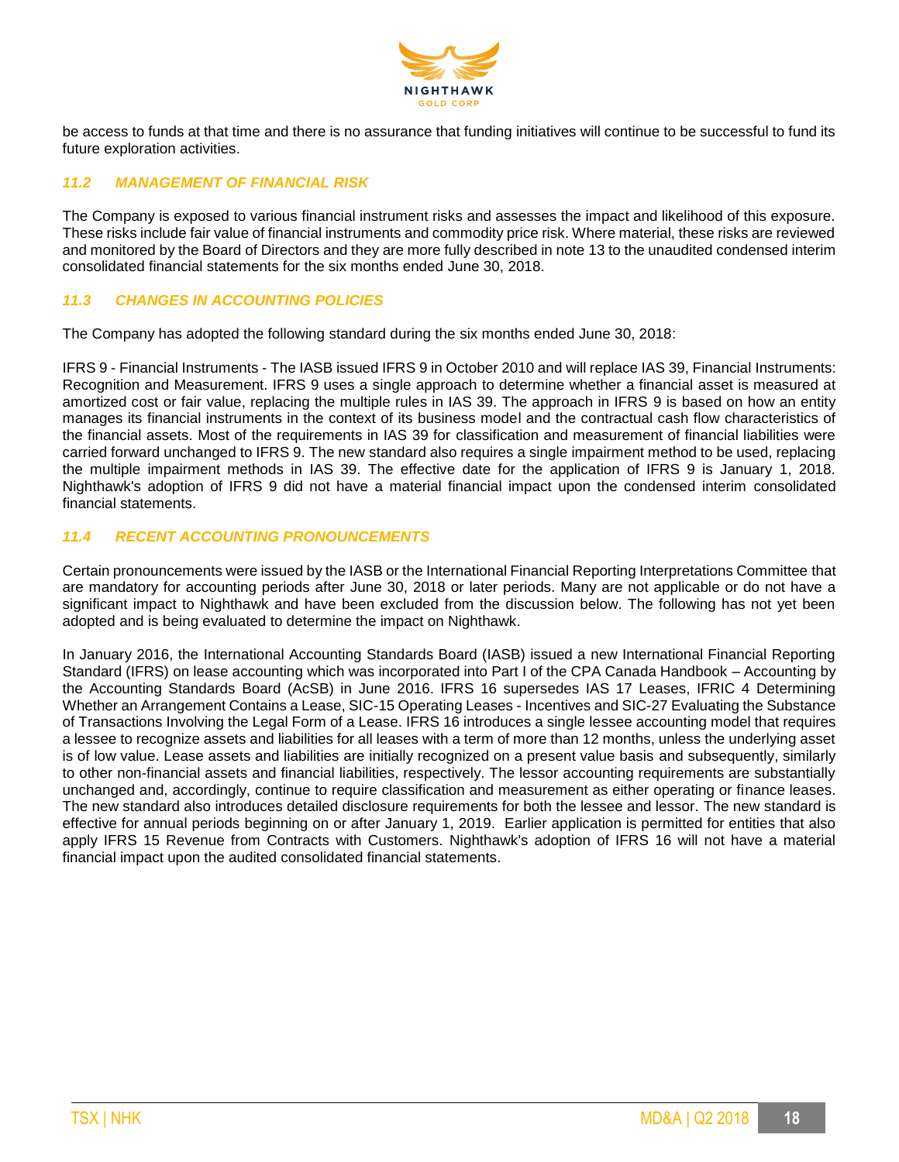

be access to funds at that time and there is no assurance that funding initiatives will continue to be successful to fund its future exploration activities.

### *11.2 MANAGEMENT OF FINANCIAL RISK*

The Company is exposed to various financial instrument risks and assesses the impact and likelihood of this exposure. These risks include fair value of financial instruments and commodity price risk. Where material, these risks are reviewed and monitored by the Board of Directors and they are more fully described in note 13 to the unaudited condensed interim consolidated financial statements for the six months ended June 30, 2018.

### *11.3 CHANGES IN ACCOUNTING POLICIES*

The Company has adopted the following standard during the six months ended June 30, 2018:

IFRS 9 - Financial Instruments - The IASB issued IFRS 9 in October 2010 and will replace IAS 39, Financial Instruments: Recognition and Measurement. IFRS 9 uses a single approach to determine whether a financial asset is measured at amortized cost or fair value, replacing the multiple rules in IAS 39. The approach in IFRS 9 is based on how an entity manages its financial instruments in the context of its business model and the contractual cash flow characteristics of the financial assets. Most of the requirements in IAS 39 for classification and measurement of financial liabilities were carried forward unchanged to IFRS 9. The new standard also requires a single impairment method to be used, replacing the multiple impairment methods in IAS 39. The effective date for the application of IFRS 9 is January 1, 2018. Nighthawk's adoption of IFRS 9 did not have a material financial impact upon the condensed interim consolidated financial statements.

### *11.4 RECENT ACCOUNTING PRONOUNCEMENTS*

Certain pronouncements were issued by the IASB or the International Financial Reporting Interpretations Committee that are mandatory for accounting periods after June 30, 2018 or later periods. Many are not applicable or do not have a significant impact to Nighthawk and have been excluded from the discussion below. The following has not yet been adopted and is being evaluated to determine the impact on Nighthawk.

In January 2016, the International Accounting Standards Board (IASB) issued a new International Financial Reporting Standard (IFRS) on lease accounting which was incorporated into Part I of the CPA Canada Handbook – Accounting by the Accounting Standards Board (AcSB) in June 2016. IFRS 16 supersedes IAS 17 Leases, IFRIC 4 Determining Whether an Arrangement Contains a Lease, SIC-15 Operating Leases - Incentives and SIC-27 Evaluating the Substance of Transactions Involving the Legal Form of a Lease. IFRS 16 introduces a single lessee accounting model that requires a lessee to recognize assets and liabilities for all leases with a term of more than 12 months, unless the underlying asset is of low value. Lease assets and liabilities are initially recognized on a present value basis and subsequently, similarly to other non-financial assets and financial liabilities, respectively. The lessor accounting requirements are substantially unchanged and, accordingly, continue to require classification and measurement as either operating or finance leases. The new standard also introduces detailed disclosure requirements for both the lessee and lessor. The new standard is effective for annual periods beginning on or after January 1, 2019. Earlier application is permitted for entities that also apply IFRS 15 Revenue from Contracts with Customers. Nighthawk's adoption of IFRS 16 will not have a material financial impact upon the audited consolidated financial statements.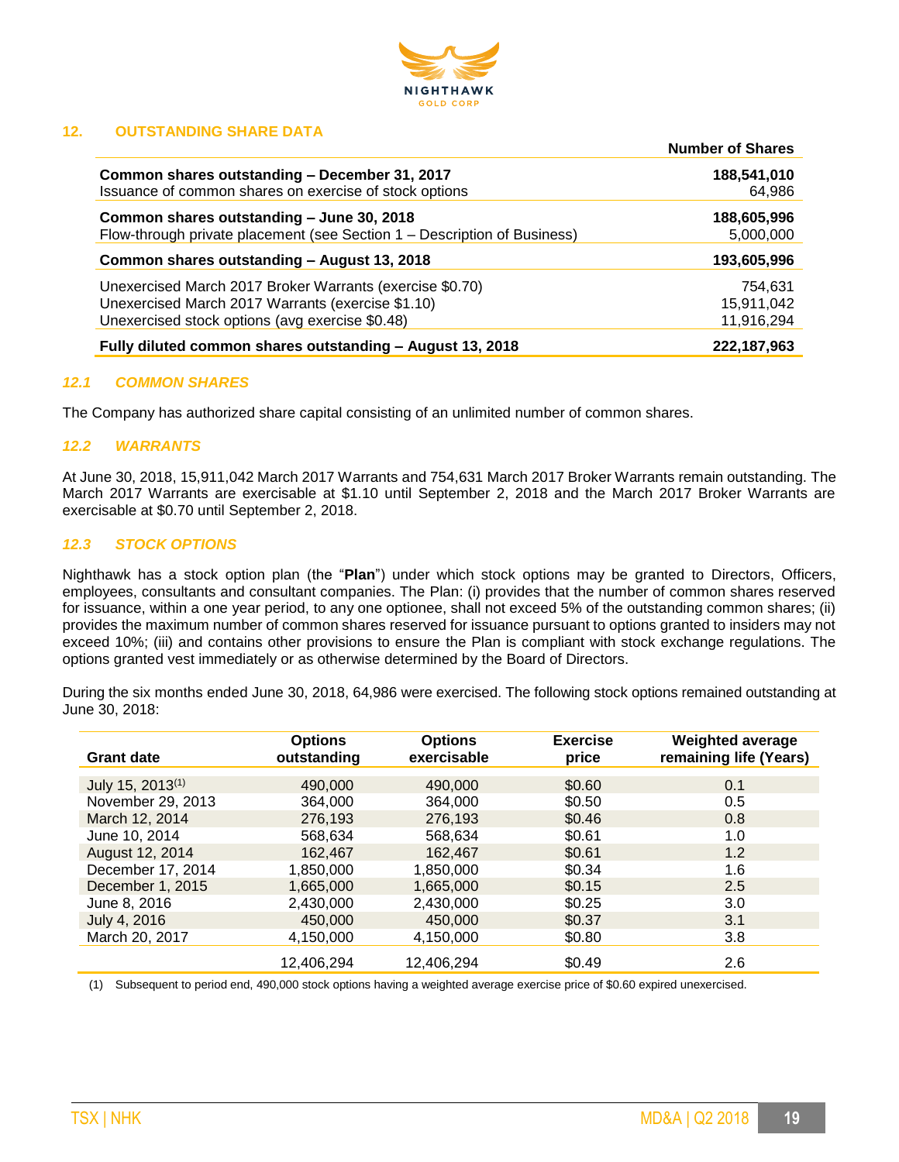

### **12. OUTSTANDING SHARE DATA**

|                                                                          | <b>Number of Shares</b> |
|--------------------------------------------------------------------------|-------------------------|
| Common shares outstanding - December 31, 2017                            | 188,541,010             |
| Issuance of common shares on exercise of stock options                   | 64,986                  |
| Common shares outstanding - June 30, 2018                                | 188,605,996             |
| Flow-through private placement (see Section 1 – Description of Business) | 5,000,000               |
| Common shares outstanding - August 13, 2018                              | 193,605,996             |
| Unexercised March 2017 Broker Warrants (exercise \$0.70)                 | 754,631                 |
| Unexercised March 2017 Warrants (exercise \$1.10)                        | 15.911.042              |
| Unexercised stock options (avg exercise \$0.48)                          | 11,916,294              |
| Fully diluted common shares outstanding - August 13, 2018                | 222,187,963             |

### *12.1 COMMON SHARES*

The Company has authorized share capital consisting of an unlimited number of common shares.

### *12.2 WARRANTS*

At June 30, 2018, 15,911,042 March 2017 Warrants and 754,631 March 2017 Broker Warrants remain outstanding. The March 2017 Warrants are exercisable at \$1.10 until September 2, 2018 and the March 2017 Broker Warrants are exercisable at \$0.70 until September 2, 2018.

### *12.3 STOCK OPTIONS*

Nighthawk has a stock option plan (the "**Plan**") under which stock options may be granted to Directors, Officers, employees, consultants and consultant companies. The Plan: (i) provides that the number of common shares reserved for issuance, within a one year period, to any one optionee, shall not exceed 5% of the outstanding common shares; (ii) provides the maximum number of common shares reserved for issuance pursuant to options granted to insiders may not exceed 10%; (iii) and contains other provisions to ensure the Plan is compliant with stock exchange regulations. The options granted vest immediately or as otherwise determined by the Board of Directors.

During the six months ended June 30, 2018, 64,986 were exercised. The following stock options remained outstanding at June 30, 2018:

| <b>Grant date</b>            | <b>Options</b><br>outstanding | <b>Options</b><br>exercisable | <b>Exercise</b><br>price | <b>Weighted average</b><br>remaining life (Years) |
|------------------------------|-------------------------------|-------------------------------|--------------------------|---------------------------------------------------|
| July 15, 2013 <sup>(1)</sup> | 490,000                       | 490,000                       | \$0.60                   | 0.1                                               |
| November 29, 2013            | 364.000                       | 364.000                       | \$0.50                   | 0.5                                               |
|                              |                               |                               |                          |                                                   |
| March 12, 2014               | 276.193                       | 276,193                       | \$0.46                   | 0.8                                               |
| June 10, 2014                | 568,634                       | 568.634                       | \$0.61                   | 1.0                                               |
| August 12, 2014              | 162,467                       | 162.467                       | \$0.61                   | 1.2                                               |
| December 17, 2014            | 1,850,000                     | 1,850,000                     | \$0.34                   | 1.6                                               |
| December 1, 2015             | 1,665,000                     | 1,665,000                     | \$0.15                   | 2.5                                               |
| June 8, 2016                 | 2,430,000                     | 2,430,000                     | \$0.25                   | 3.0                                               |
| July 4, 2016                 | 450,000                       | 450,000                       | \$0.37                   | 3.1                                               |
| March 20, 2017               | 4.150.000                     | 4.150.000                     | \$0.80                   | 3.8                                               |
|                              | 12.406.294                    | 12.406.294                    | \$0.49                   | 2.6                                               |

(1) Subsequent to period end, 490,000 stock options having a weighted average exercise price of \$0.60 expired unexercised.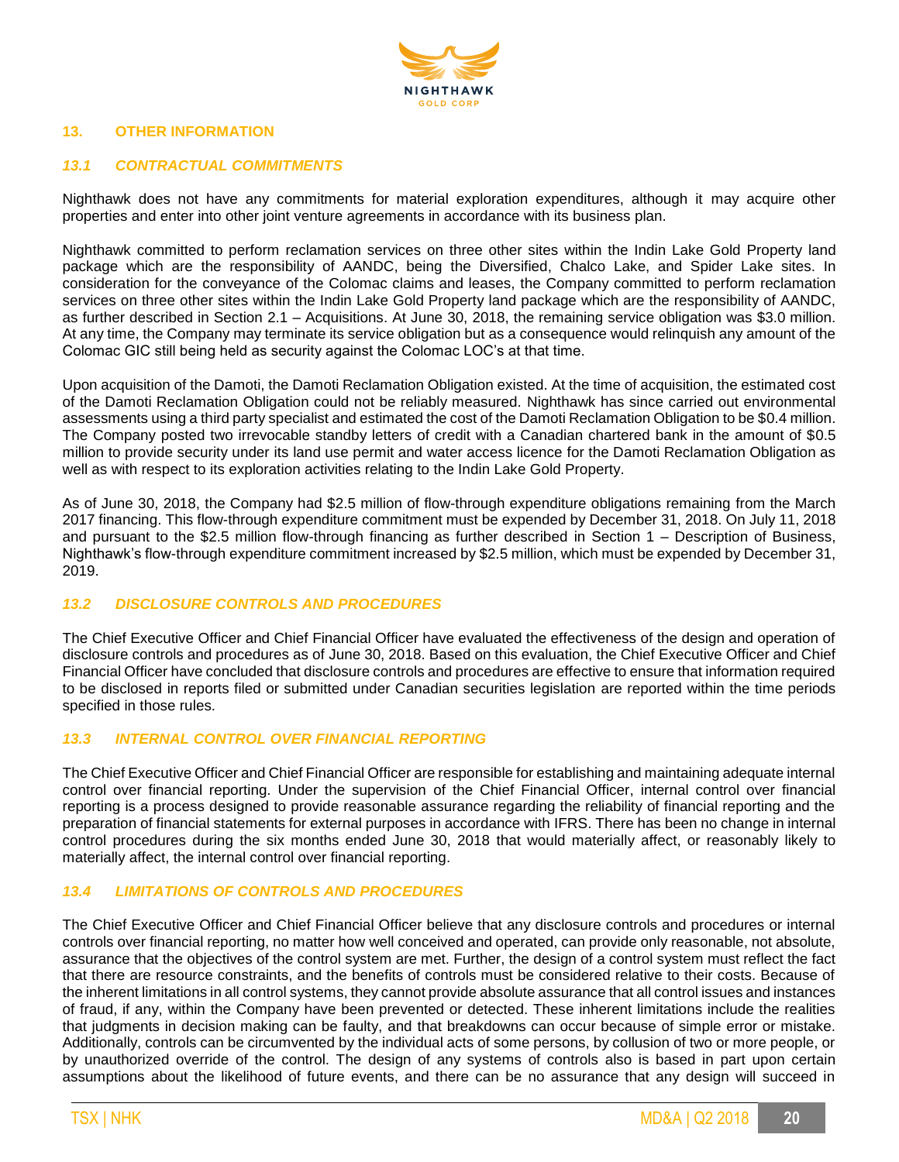

### **13. OTHER INFORMATION**

### *13.1 CONTRACTUAL COMMITMENTS*

Nighthawk does not have any commitments for material exploration expenditures, although it may acquire other properties and enter into other joint venture agreements in accordance with its business plan.

Nighthawk committed to perform reclamation services on three other sites within the Indin Lake Gold Property land package which are the responsibility of AANDC, being the Diversified, Chalco Lake, and Spider Lake sites. In consideration for the conveyance of the Colomac claims and leases, the Company committed to perform reclamation services on three other sites within the Indin Lake Gold Property land package which are the responsibility of AANDC, as further described in Section 2.1 – Acquisitions. At June 30, 2018, the remaining service obligation was \$3.0 million. At any time, the Company may terminate its service obligation but as a consequence would relinquish any amount of the Colomac GIC still being held as security against the Colomac LOC's at that time.

Upon acquisition of the Damoti, the Damoti Reclamation Obligation existed. At the time of acquisition, the estimated cost of the Damoti Reclamation Obligation could not be reliably measured. Nighthawk has since carried out environmental assessments using a third party specialist and estimated the cost of the Damoti Reclamation Obligation to be \$0.4 million. The Company posted two irrevocable standby letters of credit with a Canadian chartered bank in the amount of \$0.5 million to provide security under its land use permit and water access licence for the Damoti Reclamation Obligation as well as with respect to its exploration activities relating to the Indin Lake Gold Property.

As of June 30, 2018, the Company had \$2.5 million of flow-through expenditure obligations remaining from the March 2017 financing. This flow-through expenditure commitment must be expended by December 31, 2018. On July 11, 2018 and pursuant to the \$2.5 million flow-through financing as further described in Section 1 – Description of Business, Nighthawk's flow-through expenditure commitment increased by \$2.5 million, which must be expended by December 31, 2019.

### *13.2 DISCLOSURE CONTROLS AND PROCEDURES*

The Chief Executive Officer and Chief Financial Officer have evaluated the effectiveness of the design and operation of disclosure controls and procedures as of June 30, 2018. Based on this evaluation, the Chief Executive Officer and Chief Financial Officer have concluded that disclosure controls and procedures are effective to ensure that information required to be disclosed in reports filed or submitted under Canadian securities legislation are reported within the time periods specified in those rules.

### *13.3 INTERNAL CONTROL OVER FINANCIAL REPORTING*

The Chief Executive Officer and Chief Financial Officer are responsible for establishing and maintaining adequate internal control over financial reporting. Under the supervision of the Chief Financial Officer, internal control over financial reporting is a process designed to provide reasonable assurance regarding the reliability of financial reporting and the preparation of financial statements for external purposes in accordance with IFRS. There has been no change in internal control procedures during the six months ended June 30, 2018 that would materially affect, or reasonably likely to materially affect, the internal control over financial reporting.

### *13.4 LIMITATIONS OF CONTROLS AND PROCEDURES*

The Chief Executive Officer and Chief Financial Officer believe that any disclosure controls and procedures or internal controls over financial reporting, no matter how well conceived and operated, can provide only reasonable, not absolute, assurance that the objectives of the control system are met. Further, the design of a control system must reflect the fact that there are resource constraints, and the benefits of controls must be considered relative to their costs. Because of the inherent limitations in all control systems, they cannot provide absolute assurance that all control issues and instances of fraud, if any, within the Company have been prevented or detected. These inherent limitations include the realities that judgments in decision making can be faulty, and that breakdowns can occur because of simple error or mistake. Additionally, controls can be circumvented by the individual acts of some persons, by collusion of two or more people, or by unauthorized override of the control. The design of any systems of controls also is based in part upon certain assumptions about the likelihood of future events, and there can be no assurance that any design will succeed in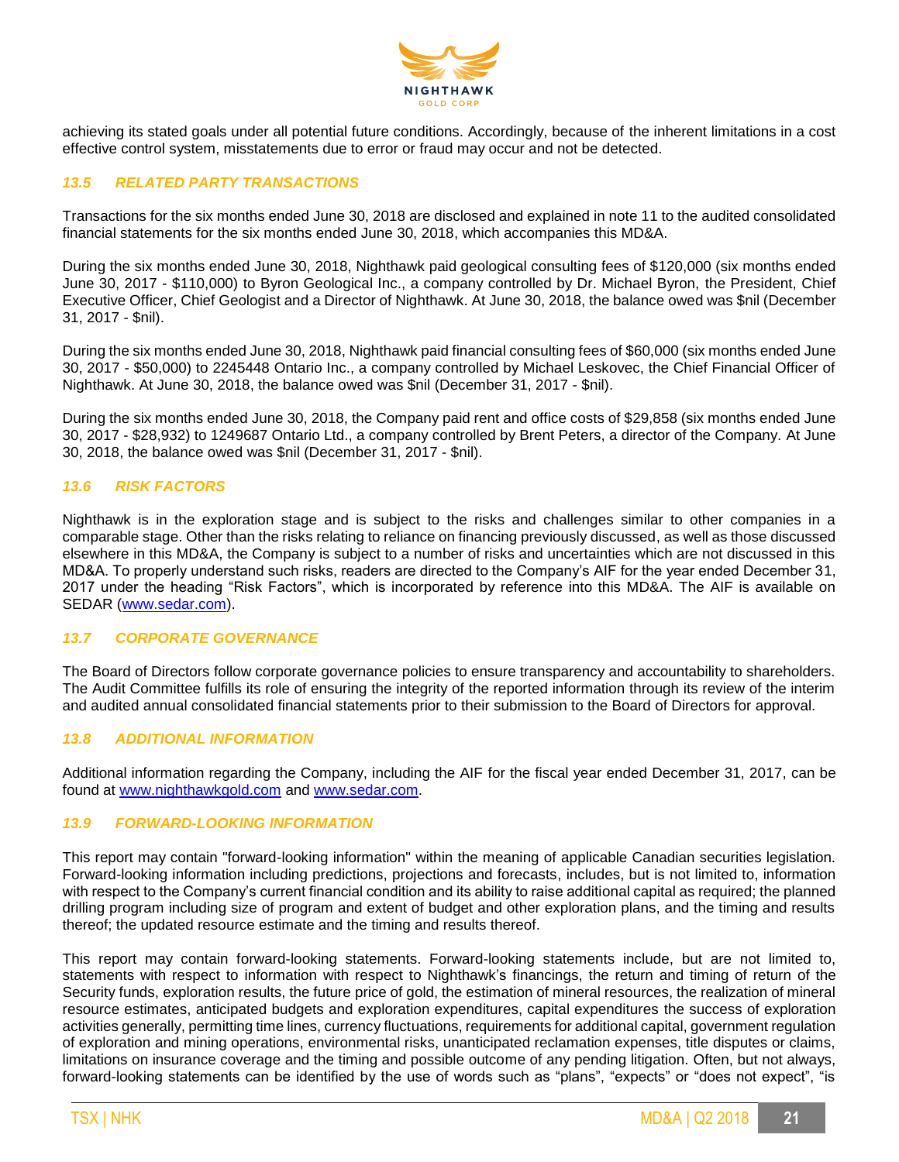

achieving its stated goals under all potential future conditions. Accordingly, because of the inherent limitations in a cost effective control system, misstatements due to error or fraud may occur and not be detected.

### *13.5 RELATED PARTY TRANSACTIONS*

Transactions for the six months ended June 30, 2018 are disclosed and explained in note 11 to the audited consolidated financial statements for the six months ended June 30, 2018, which accompanies this MD&A.

During the six months ended June 30, 2018, Nighthawk paid geological consulting fees of \$120,000 (six months ended June 30, 2017 - \$110,000) to Byron Geological Inc., a company controlled by Dr. Michael Byron, the President, Chief Executive Officer, Chief Geologist and a Director of Nighthawk. At June 30, 2018, the balance owed was \$nil (December 31, 2017 - \$nil).

During the six months ended June 30, 2018, Nighthawk paid financial consulting fees of \$60,000 (six months ended June 30, 2017 - \$50,000) to 2245448 Ontario Inc., a company controlled by Michael Leskovec, the Chief Financial Officer of Nighthawk. At June 30, 2018, the balance owed was \$nil (December 31, 2017 - \$nil).

During the six months ended June 30, 2018, the Company paid rent and office costs of \$29,858 (six months ended June 30, 2017 - \$28,932) to 1249687 Ontario Ltd., a company controlled by Brent Peters, a director of the Company. At June 30, 2018, the balance owed was \$nil (December 31, 2017 - \$nil).

### *13.6 RISK FACTORS*

Nighthawk is in the exploration stage and is subject to the risks and challenges similar to other companies in a comparable stage. Other than the risks relating to reliance on financing previously discussed, as well as those discussed elsewhere in this MD&A, the Company is subject to a number of risks and uncertainties which are not discussed in this MD&A. To properly understand such risks, readers are directed to the Company's AIF for the year ended December 31, 2017 under the heading "Risk Factors", which is incorporated by reference into this MD&A. The AIF is available on SEDAR [\(www.sedar.com\)](http://www.sedar.com/).

### *13.7 CORPORATE GOVERNANCE*

The Board of Directors follow corporate governance policies to ensure transparency and accountability to shareholders. The Audit Committee fulfills its role of ensuring the integrity of the reported information through its review of the interim and audited annual consolidated financial statements prior to their submission to the Board of Directors for approval.

### *13.8 ADDITIONAL INFORMATION*

Additional information regarding the Company, including the AIF for the fiscal year ended December 31, 2017, can be found at [www.nighthawkgold.com](http://www.nighthawkgold.com/) and [www.sedar.com.](http://www.sedar.com/)

### *13.9 FORWARD-LOOKING INFORMATION*

This report may contain "forward-looking information" within the meaning of applicable Canadian securities legislation. Forward-looking information including predictions, projections and forecasts, includes, but is not limited to, information with respect to the Company's current financial condition and its ability to raise additional capital as required; the planned drilling program including size of program and extent of budget and other exploration plans, and the timing and results thereof; the updated resource estimate and the timing and results thereof.

This report may contain forward-looking statements. Forward-looking statements include, but are not limited to, statements with respect to information with respect to Nighthawk's financings, the return and timing of return of the Security funds, exploration results, the future price of gold, the estimation of mineral resources, the realization of mineral resource estimates, anticipated budgets and exploration expenditures, capital expenditures the success of exploration activities generally, permitting time lines, currency fluctuations, requirements for additional capital, government regulation of exploration and mining operations, environmental risks, unanticipated reclamation expenses, title disputes or claims, limitations on insurance coverage and the timing and possible outcome of any pending litigation. Often, but not always, forward-looking statements can be identified by the use of words such as "plans", "expects" or "does not expect", "is